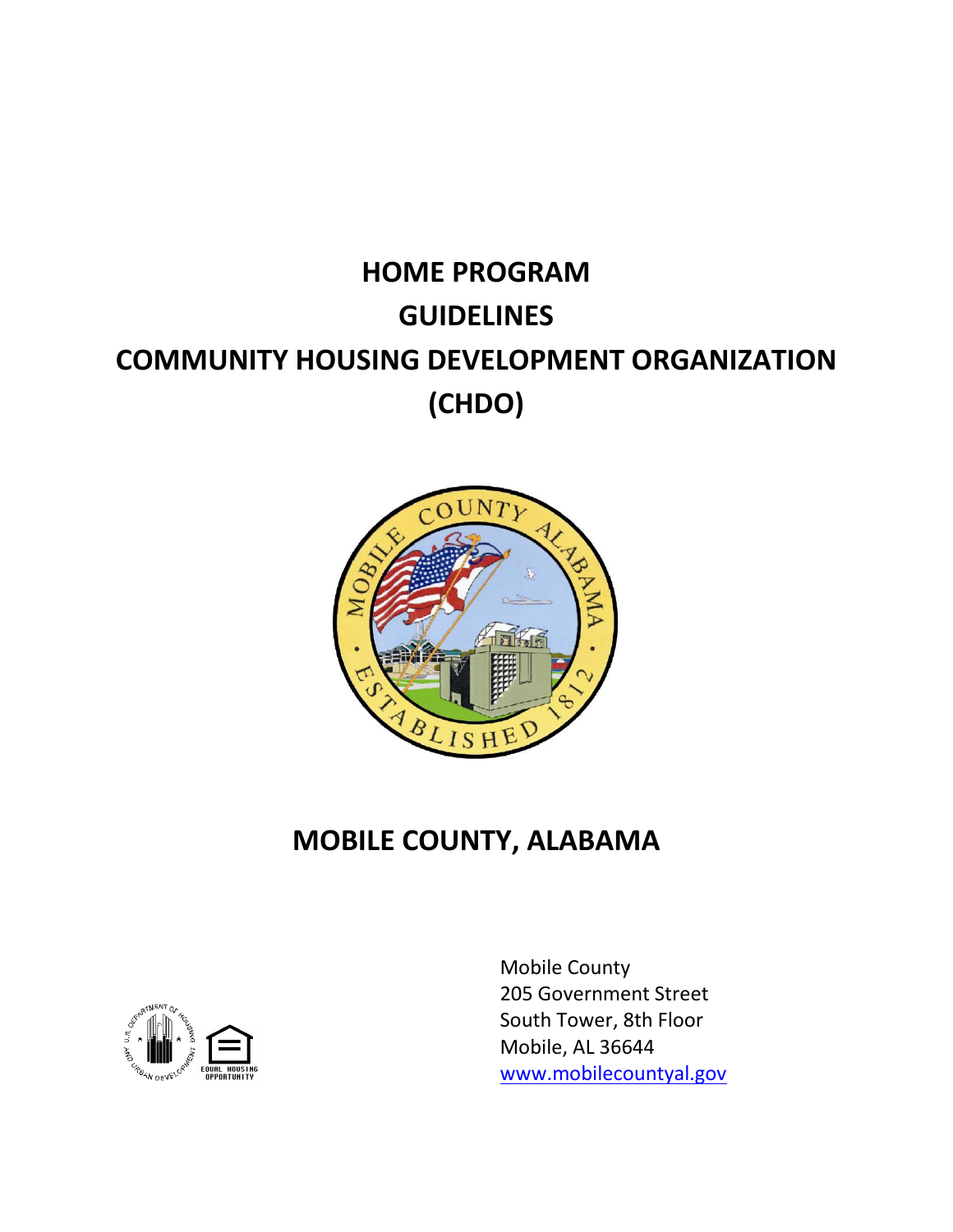# **HOME PROGRAM GUIDELINES COMMUNITY HOUSING DEVELOPMENT ORGANIZATION (CHDO)**



## **MOBILE COUNTY, ALABAMA**



Mobile County 205 Government Street South Tower, 8th Floor Mobile, AL 36644 [www.mobilecountyal.gov](http://www.mobilecountyal.gov/)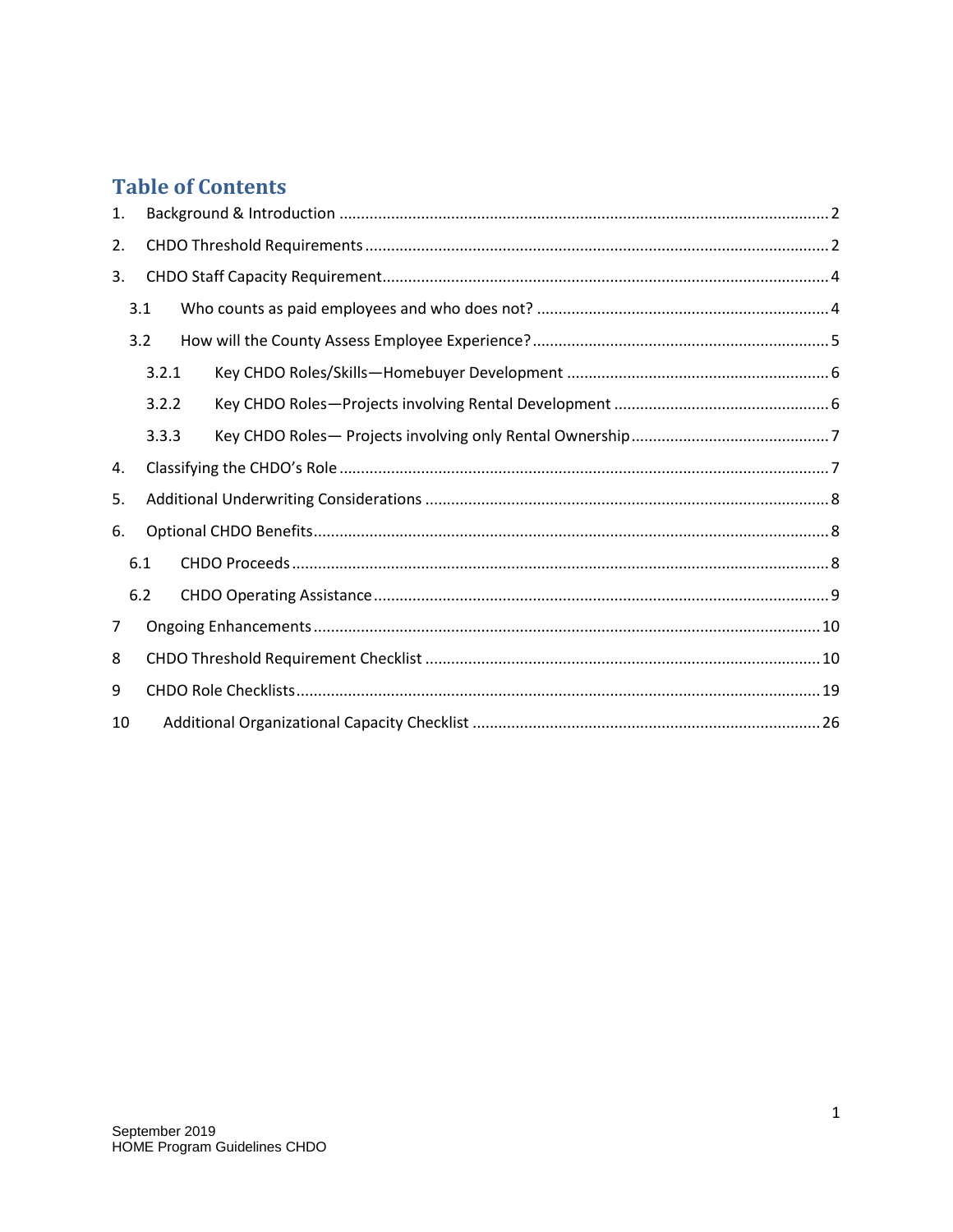## **Table of Contents**

| 1. |       |  |  |
|----|-------|--|--|
| 2. |       |  |  |
| 3. |       |  |  |
|    | 3.1   |  |  |
|    | 3.2   |  |  |
|    | 3.2.1 |  |  |
|    | 3.2.2 |  |  |
|    | 3.3.3 |  |  |
| 4. |       |  |  |
| 5. |       |  |  |
| 6. |       |  |  |
|    | 6.1   |  |  |
|    | 6.2   |  |  |
| 7  |       |  |  |
| 8  |       |  |  |
| 9  |       |  |  |
| 10 |       |  |  |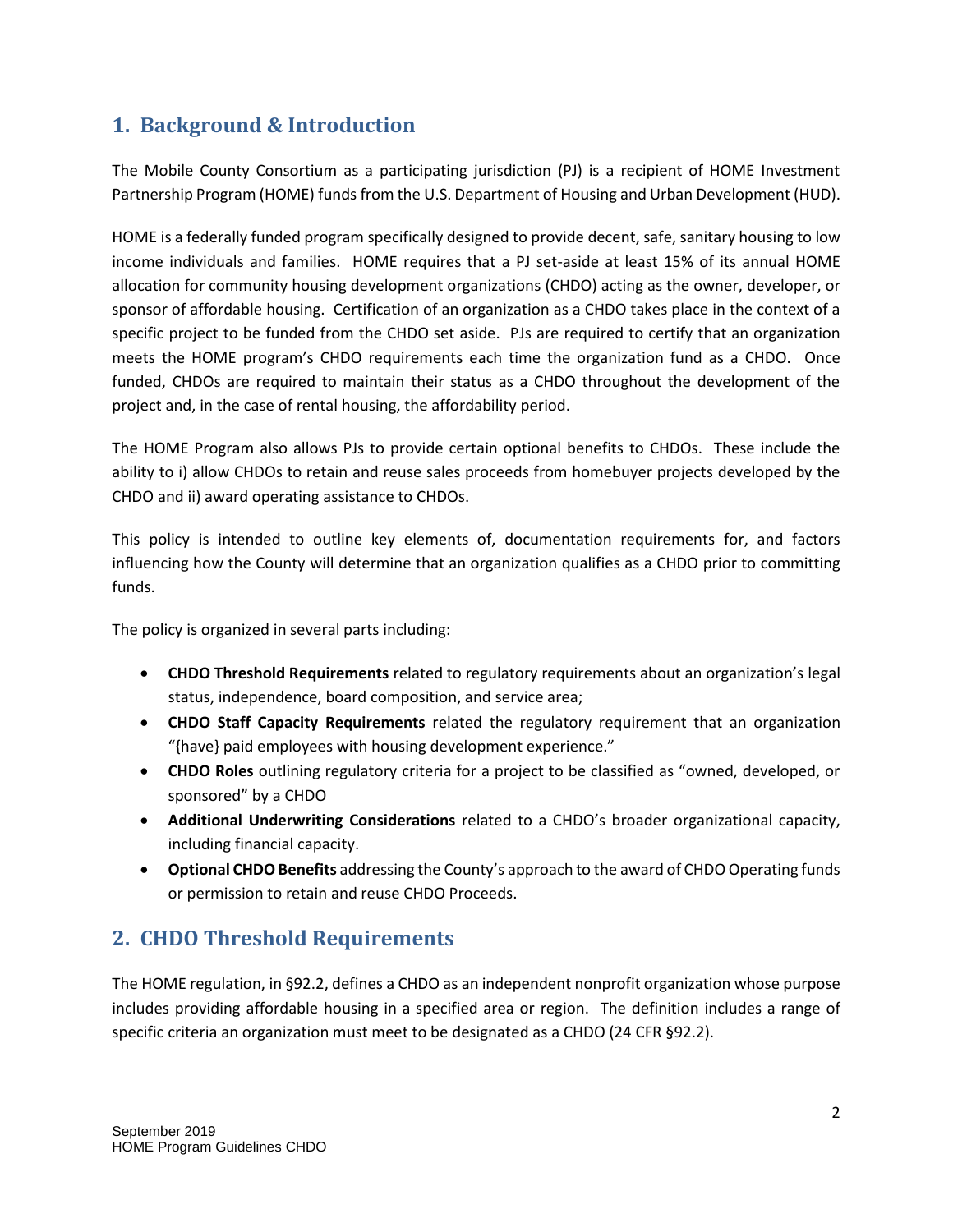#### <span id="page-2-0"></span>**1. Background & Introduction**

The Mobile County Consortium as a participating jurisdiction (PJ) is a recipient of HOME Investment Partnership Program (HOME) funds from the U.S. Department of Housing and Urban Development (HUD).

HOME is a federally funded program specifically designed to provide decent, safe, sanitary housing to low income individuals and families. HOME requires that a PJ set-aside at least 15% of its annual HOME allocation for community housing development organizations (CHDO) acting as the owner, developer, or sponsor of affordable housing. Certification of an organization as a CHDO takes place in the context of a specific project to be funded from the CHDO set aside. PJs are required to certify that an organization meets the HOME program's CHDO requirements each time the organization fund as a CHDO. Once funded, CHDOs are required to maintain their status as a CHDO throughout the development of the project and, in the case of rental housing, the affordability period.

The HOME Program also allows PJs to provide certain optional benefits to CHDOs. These include the ability to i) allow CHDOs to retain and reuse sales proceeds from homebuyer projects developed by the CHDO and ii) award operating assistance to CHDOs.

This policy is intended to outline key elements of, documentation requirements for, and factors influencing how the County will determine that an organization qualifies as a CHDO prior to committing funds.

The policy is organized in several parts including:

- **CHDO Threshold Requirements** related to regulatory requirements about an organization's legal status, independence, board composition, and service area;
- **CHDO Staff Capacity Requirements** related the regulatory requirement that an organization "{have} paid employees with housing development experience."
- **CHDO Roles** outlining regulatory criteria for a project to be classified as "owned, developed, or sponsored" by a CHDO
- **Additional Underwriting Considerations** related to a CHDO's broader organizational capacity, including financial capacity.
- **Optional CHDO Benefits** addressing the County's approach to the award of CHDO Operating funds or permission to retain and reuse CHDO Proceeds.

## <span id="page-2-1"></span>**2. CHDO Threshold Requirements**

The HOME regulation, in §92.2, defines a CHDO as an independent nonprofit organization whose purpose includes providing affordable housing in a specified area or region. The definition includes a range of specific criteria an organization must meet to be designated as a CHDO (24 CFR §92.2).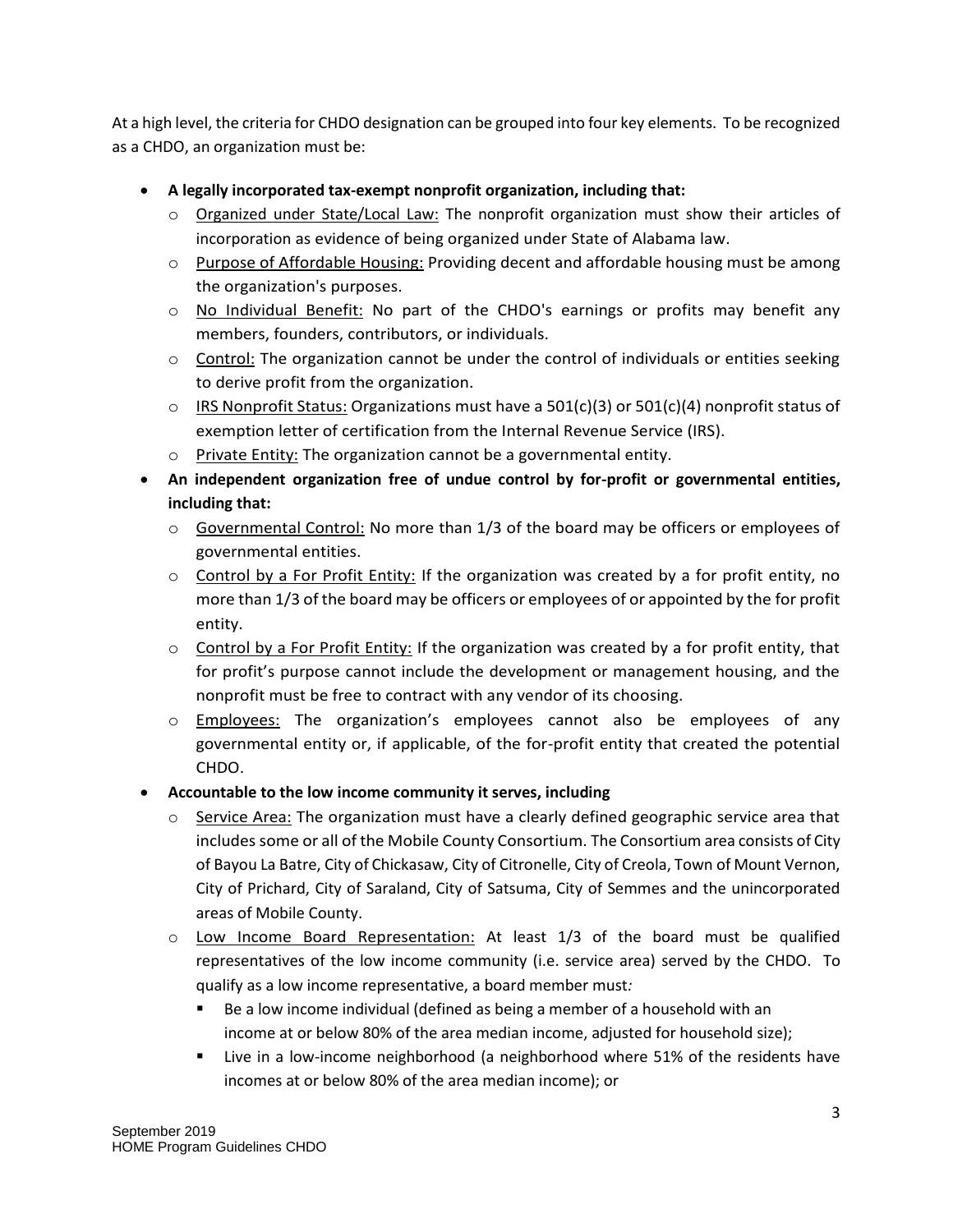At a high level, the criteria for CHDO designation can be grouped into four key elements. To be recognized as a CHDO, an organization must be:

- **A legally incorporated tax-exempt nonprofit organization, including that:**
	- $\circ$  Organized under State/Local Law: The nonprofit organization must show their articles of incorporation as evidence of being organized under State of Alabama law.
	- $\circ$  Purpose of Affordable Housing: Providing decent and affordable housing must be among the organization's purposes.
	- $\circ$  No Individual Benefit: No part of the CHDO's earnings or profits may benefit any members, founders, contributors, or individuals.
	- $\circ$  Control: The organization cannot be under the control of individuals or entities seeking to derive profit from the organization.
	- $\circ$  IRS Nonprofit Status: Organizations must have a 501(c)(3) or 501(c)(4) nonprofit status of exemption letter of certification from the Internal Revenue Service (IRS).
	- o Private Entity: The organization cannot be a governmental entity.
- **An independent organization free of undue control by for-profit or governmental entities, including that:**
	- $\circ$  Governmental Control: No more than 1/3 of the board may be officers or employees of governmental entities.
	- $\circ$  Control by a For Profit Entity: If the organization was created by a for profit entity, no more than 1/3 of the board may be officers or employees of or appointed by the for profit entity.
	- $\circ$  Control by a For Profit Entity: If the organization was created by a for profit entity, that for profit's purpose cannot include the development or management housing, and the nonprofit must be free to contract with any vendor of its choosing.
	- o Employees: The organization's employees cannot also be employees of any governmental entity or, if applicable, of the for-profit entity that created the potential CHDO.
- **Accountable to the low income community it serves, including**
	- $\circ$  Service Area: The organization must have a clearly defined geographic service area that includes some or all of the Mobile County Consortium. The Consortium area consists of City of Bayou La Batre, City of Chickasaw, City of Citronelle, City of Creola, Town of Mount Vernon, City of Prichard, City of Saraland, City of Satsuma, City of Semmes and the unincorporated areas of Mobile County.
	- $\circ$  Low Income Board Representation: At least 1/3 of the board must be qualified representatives of the low income community (i.e. service area) served by the CHDO. To qualify as a low income representative, a board member must*:*
		- Be a low income individual (defined as being a member of a household with an income at or below 80% of the area median income, adjusted for household size);
		- Live in a low-income neighborhood (a neighborhood where 51% of the residents have incomes at or below 80% of the area median income); or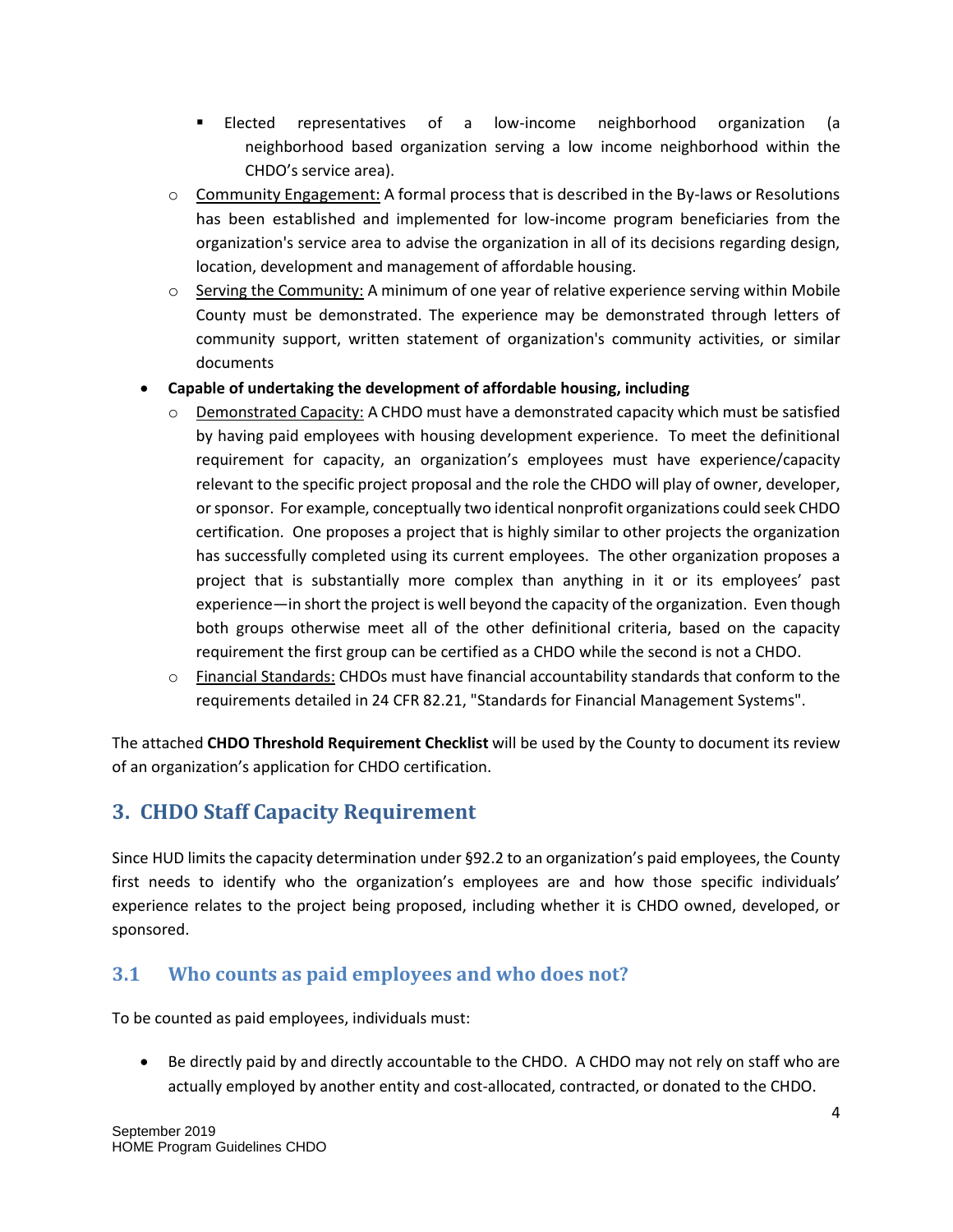- Elected representatives of a low-income neighborhood organization (a neighborhood based organization serving a low income neighborhood within the CHDO's service area).
- $\circ$  Community Engagement: A formal process that is described in the By-laws or Resolutions has been established and implemented for low-income program beneficiaries from the organization's service area to advise the organization in all of its decisions regarding design, location, development and management of affordable housing.
- $\circ$  Serving the Community: A minimum of one year of relative experience serving within Mobile County must be demonstrated. The experience may be demonstrated through letters of community support, written statement of organization's community activities, or similar documents
- **Capable of undertaking the development of affordable housing, including**
	- Demonstrated Capacity: A CHDO must have a demonstrated capacity which must be satisfied by having paid employees with housing development experience. To meet the definitional requirement for capacity, an organization's employees must have experience/capacity relevant to the specific project proposal and the role the CHDO will play of owner, developer, or sponsor. For example, conceptually two identical nonprofit organizations could seek CHDO certification. One proposes a project that is highly similar to other projects the organization has successfully completed using its current employees. The other organization proposes a project that is substantially more complex than anything in it or its employees' past experience—in short the project is well beyond the capacity of the organization. Even though both groups otherwise meet all of the other definitional criteria, based on the capacity requirement the first group can be certified as a CHDO while the second is not a CHDO.
	- o Financial Standards: CHDOs must have financial accountability standards that conform to the requirements detailed in 24 CFR 82.21, "Standards for Financial Management Systems".

The attached **CHDO Threshold Requirement Checklist** will be used by the County to document its review of an organization's application for CHDO certification.

## <span id="page-4-0"></span>**3. CHDO Staff Capacity Requirement**

Since HUD limits the capacity determination under §92.2 to an organization's paid employees, the County first needs to identify who the organization's employees are and how those specific individuals' experience relates to the project being proposed, including whether it is CHDO owned, developed, or sponsored.

#### <span id="page-4-1"></span>**3.1 Who counts as paid employees and who does not?**

To be counted as paid employees, individuals must:

 Be directly paid by and directly accountable to the CHDO. A CHDO may not rely on staff who are actually employed by another entity and cost-allocated, contracted, or donated to the CHDO.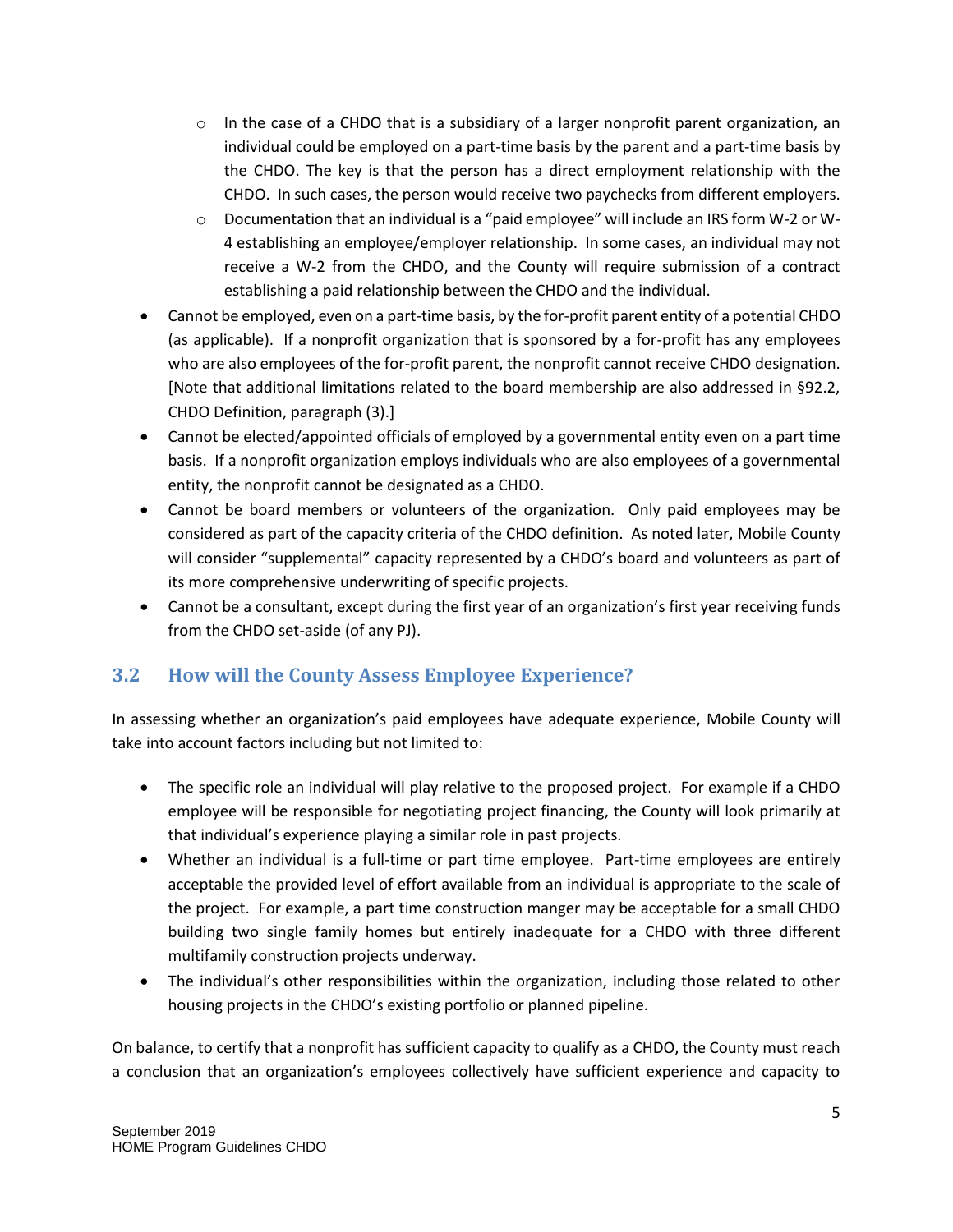- $\circ$  In the case of a CHDO that is a subsidiary of a larger nonprofit parent organization, an individual could be employed on a part-time basis by the parent and a part-time basis by the CHDO. The key is that the person has a direct employment relationship with the CHDO. In such cases, the person would receive two paychecks from different employers.
- o Documentation that an individual is a "paid employee" will include an IRS form W-2 or W-4 establishing an employee/employer relationship. In some cases, an individual may not receive a W-2 from the CHDO, and the County will require submission of a contract establishing a paid relationship between the CHDO and the individual.
- Cannot be employed, even on a part-time basis, by the for-profit parent entity of a potential CHDO (as applicable). If a nonprofit organization that is sponsored by a for-profit has any employees who are also employees of the for-profit parent, the nonprofit cannot receive CHDO designation. [Note that additional limitations related to the board membership are also addressed in §92.2, CHDO Definition, paragraph (3).]
- Cannot be elected/appointed officials of employed by a governmental entity even on a part time basis. If a nonprofit organization employs individuals who are also employees of a governmental entity, the nonprofit cannot be designated as a CHDO.
- Cannot be board members or volunteers of the organization. Only paid employees may be considered as part of the capacity criteria of the CHDO definition. As noted later, Mobile County will consider "supplemental" capacity represented by a CHDO's board and volunteers as part of its more comprehensive underwriting of specific projects.
- Cannot be a consultant, except during the first year of an organization's first year receiving funds from the CHDO set-aside (of any PJ).

#### <span id="page-5-0"></span>**3.2 How will the County Assess Employee Experience?**

In assessing whether an organization's paid employees have adequate experience, Mobile County will take into account factors including but not limited to:

- The specific role an individual will play relative to the proposed project. For example if a CHDO employee will be responsible for negotiating project financing, the County will look primarily at that individual's experience playing a similar role in past projects.
- Whether an individual is a full-time or part time employee. Part-time employees are entirely acceptable the provided level of effort available from an individual is appropriate to the scale of the project. For example, a part time construction manger may be acceptable for a small CHDO building two single family homes but entirely inadequate for a CHDO with three different multifamily construction projects underway.
- The individual's other responsibilities within the organization, including those related to other housing projects in the CHDO's existing portfolio or planned pipeline.

On balance, to certify that a nonprofit has sufficient capacity to qualify as a CHDO, the County must reach a conclusion that an organization's employees collectively have sufficient experience and capacity to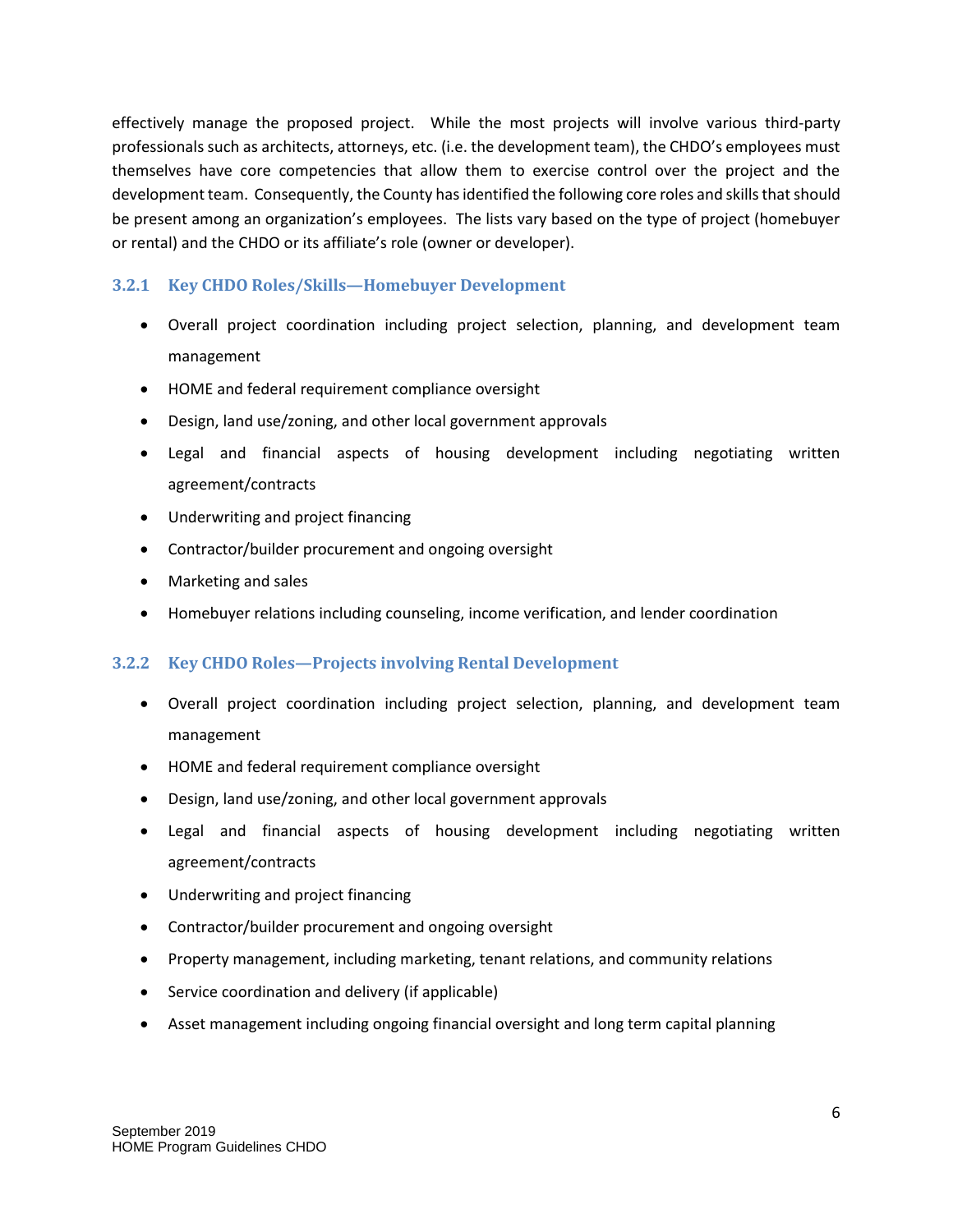effectively manage the proposed project. While the most projects will involve various third-party professionals such as architects, attorneys, etc. (i.e. the development team), the CHDO's employees must themselves have core competencies that allow them to exercise control over the project and the development team. Consequently, the County has identified the following core roles and skills that should be present among an organization's employees. The lists vary based on the type of project (homebuyer or rental) and the CHDO or its affiliate's role (owner or developer).

#### <span id="page-6-0"></span>**3.2.1 Key CHDO Roles/Skills—Homebuyer Development**

- Overall project coordination including project selection, planning, and development team management
- HOME and federal requirement compliance oversight
- Design, land use/zoning, and other local government approvals
- Legal and financial aspects of housing development including negotiating written agreement/contracts
- Underwriting and project financing
- Contractor/builder procurement and ongoing oversight
- Marketing and sales
- Homebuyer relations including counseling, income verification, and lender coordination

#### <span id="page-6-1"></span>**3.2.2 Key CHDO Roles—Projects involving Rental Development**

- Overall project coordination including project selection, planning, and development team management
- HOME and federal requirement compliance oversight
- Design, land use/zoning, and other local government approvals
- Legal and financial aspects of housing development including negotiating written agreement/contracts
- Underwriting and project financing
- Contractor/builder procurement and ongoing oversight
- Property management, including marketing, tenant relations, and community relations
- Service coordination and delivery (if applicable)
- Asset management including ongoing financial oversight and long term capital planning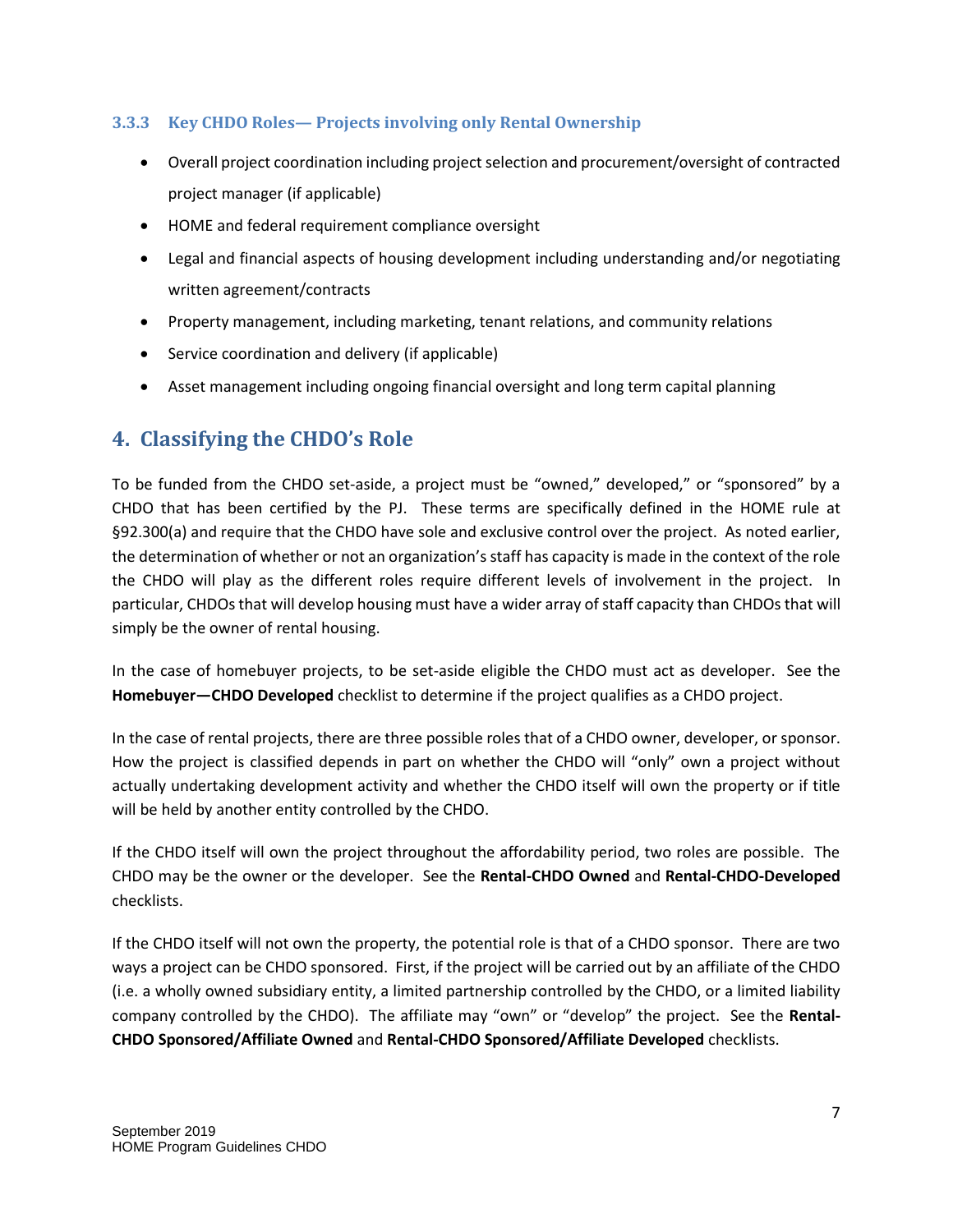#### <span id="page-7-0"></span>**3.3.3 Key CHDO Roles— Projects involving only Rental Ownership**

- Overall project coordination including project selection and procurement/oversight of contracted project manager (if applicable)
- HOME and federal requirement compliance oversight
- Legal and financial aspects of housing development including understanding and/or negotiating written agreement/contracts
- Property management, including marketing, tenant relations, and community relations
- Service coordination and delivery (if applicable)
- Asset management including ongoing financial oversight and long term capital planning

#### <span id="page-7-1"></span>**4. Classifying the CHDO's Role**

To be funded from the CHDO set-aside, a project must be "owned," developed," or "sponsored" by a CHDO that has been certified by the PJ. These terms are specifically defined in the HOME rule at §92.300(a) and require that the CHDO have sole and exclusive control over the project. As noted earlier, the determination of whether or not an organization's staff has capacity is made in the context of the role the CHDO will play as the different roles require different levels of involvement in the project. In particular, CHDOs that will develop housing must have a wider array of staff capacity than CHDOs that will simply be the owner of rental housing.

In the case of homebuyer projects, to be set-aside eligible the CHDO must act as developer. See the **Homebuyer—CHDO Developed** checklist to determine if the project qualifies as a CHDO project.

In the case of rental projects, there are three possible roles that of a CHDO owner, developer, or sponsor. How the project is classified depends in part on whether the CHDO will "only" own a project without actually undertaking development activity and whether the CHDO itself will own the property or if title will be held by another entity controlled by the CHDO.

If the CHDO itself will own the project throughout the affordability period, two roles are possible. The CHDO may be the owner or the developer. See the **Rental-CHDO Owned** and **Rental-CHDO-Developed**  checklists.

If the CHDO itself will not own the property, the potential role is that of a CHDO sponsor. There are two ways a project can be CHDO sponsored. First, if the project will be carried out by an affiliate of the CHDO (i.e. a wholly owned subsidiary entity, a limited partnership controlled by the CHDO, or a limited liability company controlled by the CHDO). The affiliate may "own" or "develop" the project. See the **Rental-CHDO Sponsored/Affiliate Owned** and **Rental-CHDO Sponsored/Affiliate Developed** checklists.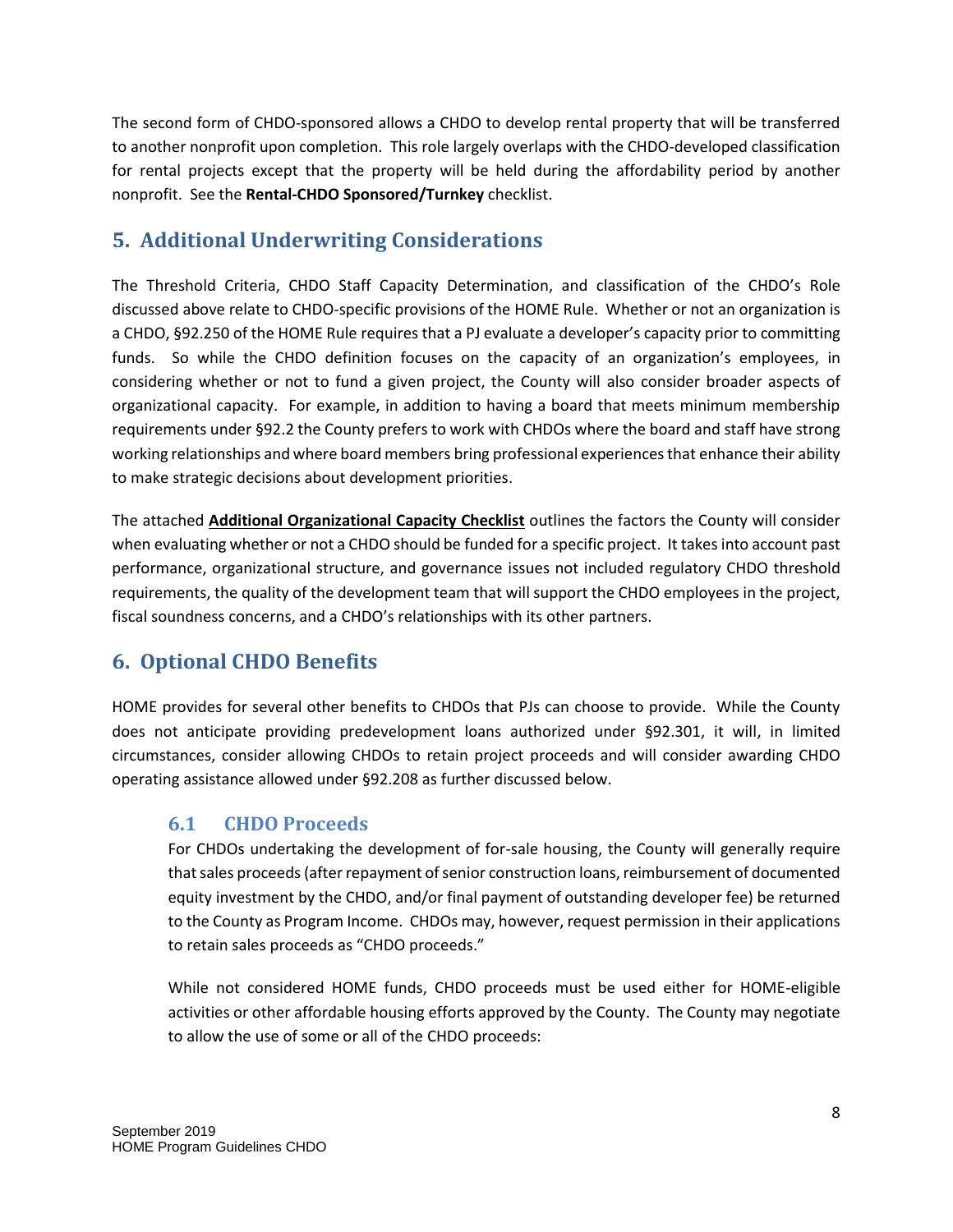The second form of CHDO-sponsored allows a CHDO to develop rental property that will be transferred to another nonprofit upon completion. This role largely overlaps with the CHDO-developed classification for rental projects except that the property will be held during the affordability period by another nonprofit. See the **Rental-CHDO Sponsored/Turnkey** checklist.

#### <span id="page-8-0"></span>**5. Additional Underwriting Considerations**

The Threshold Criteria, CHDO Staff Capacity Determination, and classification of the CHDO's Role discussed above relate to CHDO-specific provisions of the HOME Rule. Whether or not an organization is a CHDO, §92.250 of the HOME Rule requires that a PJ evaluate a developer's capacity prior to committing funds. So while the CHDO definition focuses on the capacity of an organization's employees, in considering whether or not to fund a given project, the County will also consider broader aspects of organizational capacity. For example, in addition to having a board that meets minimum membership requirements under §92.2 the County prefers to work with CHDOs where the board and staff have strong working relationships and where board members bring professional experiences that enhance their ability to make strategic decisions about development priorities.

The attached **Additional Organizational Capacity Checklist** outlines the factors the County will consider when evaluating whether or not a CHDO should be funded for a specific project. It takes into account past performance, organizational structure, and governance issues not included regulatory CHDO threshold requirements, the quality of the development team that will support the CHDO employees in the project, fiscal soundness concerns, and a CHDO's relationships with its other partners.

## <span id="page-8-1"></span>**6. Optional CHDO Benefits**

HOME provides for several other benefits to CHDOs that PJs can choose to provide. While the County does not anticipate providing predevelopment loans authorized under §92.301, it will, in limited circumstances, consider allowing CHDOs to retain project proceeds and will consider awarding CHDO operating assistance allowed under §92.208 as further discussed below.

#### <span id="page-8-2"></span>**6.1 CHDO Proceeds**

For CHDOs undertaking the development of for-sale housing, the County will generally require that sales proceeds (after repayment of senior construction loans, reimbursement of documented equity investment by the CHDO, and/or final payment of outstanding developer fee) be returned to the County as Program Income. CHDOs may, however, request permission in their applications to retain sales proceeds as "CHDO proceeds."

While not considered HOME funds, CHDO proceeds must be used either for HOME-eligible activities or other affordable housing efforts approved by the County. The County may negotiate to allow the use of some or all of the CHDO proceeds: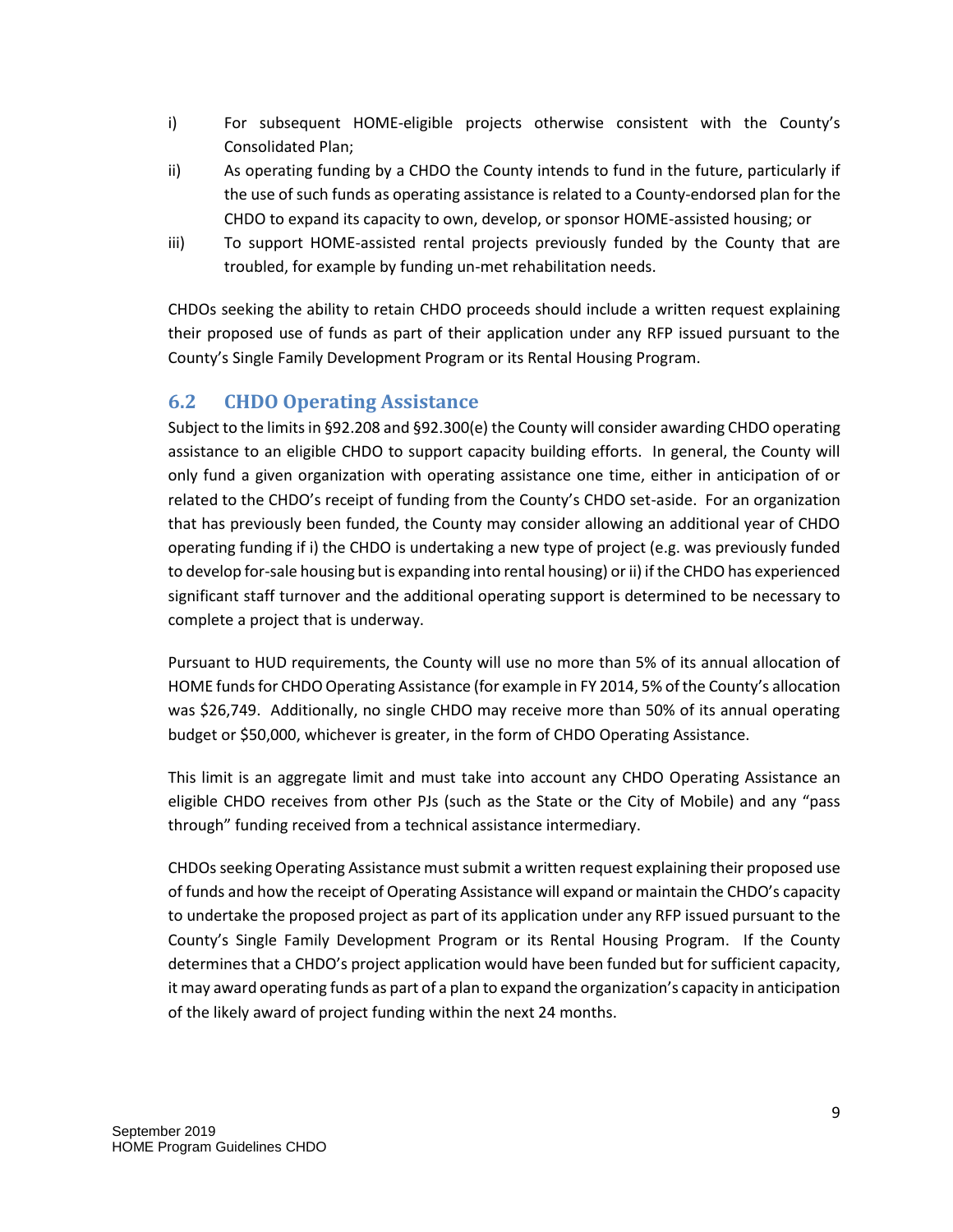- i) For subsequent HOME-eligible projects otherwise consistent with the County's Consolidated Plan;
- ii) As operating funding by a CHDO the County intends to fund in the future, particularly if the use of such funds as operating assistance is related to a County-endorsed plan for the CHDO to expand its capacity to own, develop, or sponsor HOME-assisted housing; or
- iii) To support HOME-assisted rental projects previously funded by the County that are troubled, for example by funding un-met rehabilitation needs.

CHDOs seeking the ability to retain CHDO proceeds should include a written request explaining their proposed use of funds as part of their application under any RFP issued pursuant to the County's Single Family Development Program or its Rental Housing Program.

#### <span id="page-9-0"></span>**6.2 CHDO Operating Assistance**

Subject to the limits in §92.208 and §92.300(e) the County will consider awarding CHDO operating assistance to an eligible CHDO to support capacity building efforts. In general, the County will only fund a given organization with operating assistance one time, either in anticipation of or related to the CHDO's receipt of funding from the County's CHDO set-aside. For an organization that has previously been funded, the County may consider allowing an additional year of CHDO operating funding if i) the CHDO is undertaking a new type of project (e.g. was previously funded to develop for-sale housing but is expanding into rental housing) or ii) if the CHDO has experienced significant staff turnover and the additional operating support is determined to be necessary to complete a project that is underway.

Pursuant to HUD requirements, the County will use no more than 5% of its annual allocation of HOME funds for CHDO Operating Assistance (for example in FY 2014, 5% of the County's allocation was \$26,749. Additionally, no single CHDO may receive more than 50% of its annual operating budget or \$50,000, whichever is greater, in the form of CHDO Operating Assistance.

This limit is an aggregate limit and must take into account any CHDO Operating Assistance an eligible CHDO receives from other PJs (such as the State or the City of Mobile) and any "pass through" funding received from a technical assistance intermediary.

CHDOs seeking Operating Assistance must submit a written request explaining their proposed use of funds and how the receipt of Operating Assistance will expand or maintain the CHDO's capacity to undertake the proposed project as part of its application under any RFP issued pursuant to the County's Single Family Development Program or its Rental Housing Program. If the County determines that a CHDO's project application would have been funded but for sufficient capacity, it may award operating funds as part of a plan to expand the organization's capacity in anticipation of the likely award of project funding within the next 24 months.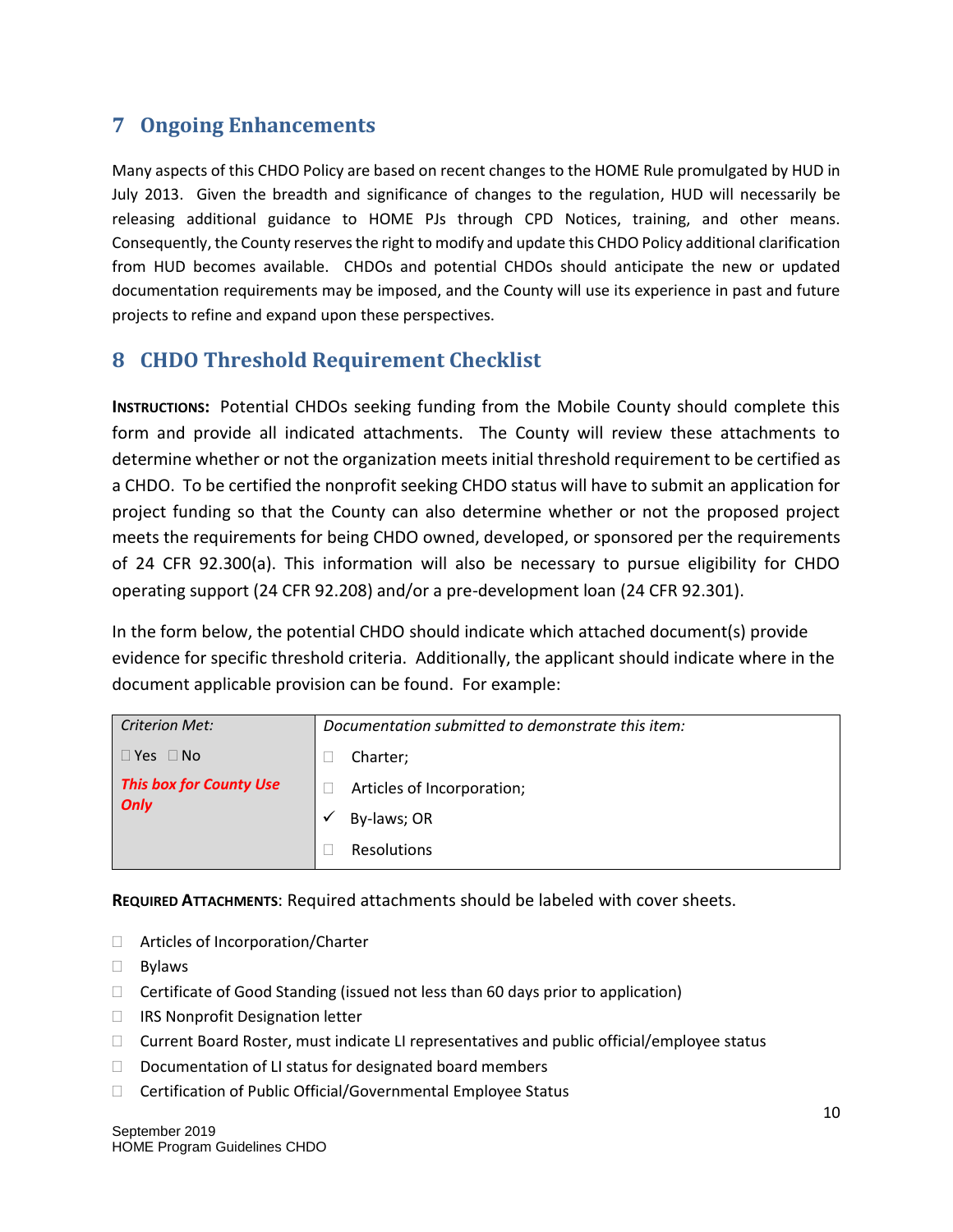#### <span id="page-10-0"></span>**7 Ongoing Enhancements**

Many aspects of this CHDO Policy are based on recent changes to the HOME Rule promulgated by HUD in July 2013. Given the breadth and significance of changes to the regulation, HUD will necessarily be releasing additional guidance to HOME PJs through CPD Notices, training, and other means. Consequently, the County reserves the right to modify and update this CHDO Policy additional clarification from HUD becomes available. CHDOs and potential CHDOs should anticipate the new or updated documentation requirements may be imposed, and the County will use its experience in past and future projects to refine and expand upon these perspectives.

#### <span id="page-10-1"></span>**8 CHDO Threshold Requirement Checklist**

**INSTRUCTIONS:** Potential CHDOs seeking funding from the Mobile County should complete this form and provide all indicated attachments. The County will review these attachments to determine whether or not the organization meets initial threshold requirement to be certified as a CHDO. To be certified the nonprofit seeking CHDO status will have to submit an application for project funding so that the County can also determine whether or not the proposed project meets the requirements for being CHDO owned, developed, or sponsored per the requirements of 24 CFR 92.300(a). This information will also be necessary to pursue eligibility for CHDO operating support (24 CFR 92.208) and/or a pre-development loan (24 CFR 92.301).

In the form below, the potential CHDO should indicate which attached document(s) provide evidence for specific threshold criteria. Additionally, the applicant should indicate where in the document applicable provision can be found. For example:

| <b>Criterion Met:</b>                         | Documentation submitted to demonstrate this item: |
|-----------------------------------------------|---------------------------------------------------|
| $\Box$ Yes $\Box$ No                          | Charter;                                          |
| <b>This box for County Use</b><br><b>Only</b> | Articles of Incorporation;                        |
|                                               | By-laws; OR                                       |
|                                               | Resolutions                                       |

**REQUIRED ATTACHMENTS**: Required attachments should be labeled with cover sheets.

- □ Articles of Incorporation/Charter
- Bylaws
- $\Box$  Certificate of Good Standing (issued not less than 60 days prior to application)
- □ IRS Nonprofit Designation letter
- $\Box$  Current Board Roster, must indicate LI representatives and public official/employee status
- $\Box$  Documentation of LI status for designated board members
- □ Certification of Public Official/Governmental Employee Status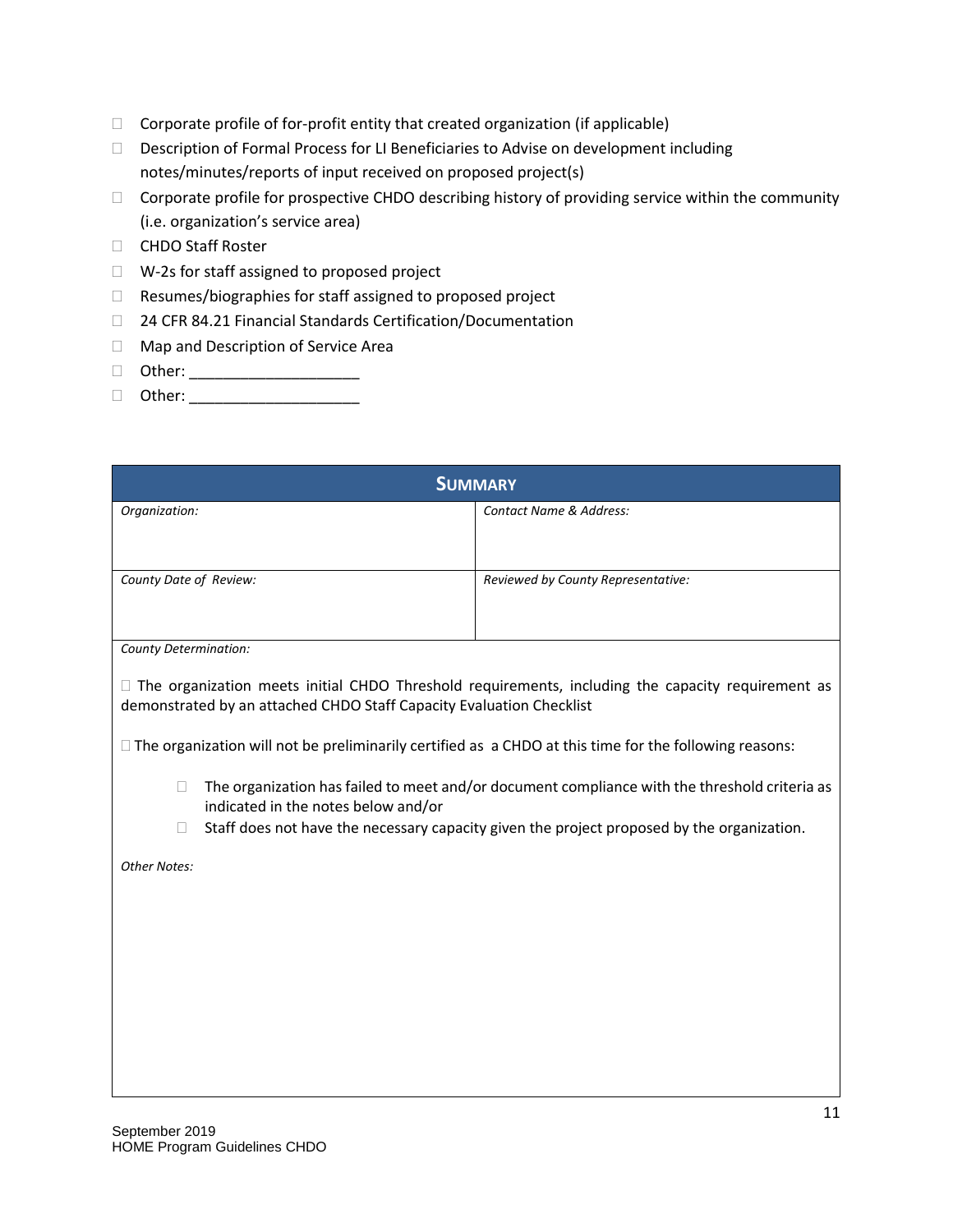- $\Box$  Corporate profile of for-profit entity that created organization (if applicable)
- Description of Formal Process for LI Beneficiaries to Advise on development including notes/minutes/reports of input received on proposed project(s)
- □ Corporate profile for prospective CHDO describing history of providing service within the community (i.e. organization's service area)
- □ CHDO Staff Roster
- □ W-2s for staff assigned to proposed project
- □ Resumes/biographies for staff assigned to proposed project
- □ 24 CFR 84.21 Financial Standards Certification/Documentation
- □ Map and Description of Service Area
- Other: \_\_\_\_\_\_\_\_\_\_\_\_\_\_\_\_\_\_\_\_
- $\Box$  Other:  $\Box$

| <b>SUMMARY</b>                                                                                                                                 |                                                                                                          |  |
|------------------------------------------------------------------------------------------------------------------------------------------------|----------------------------------------------------------------------------------------------------------|--|
| Organization:                                                                                                                                  | Contact Name & Address:                                                                                  |  |
| County Date of Review:                                                                                                                         | Reviewed by County Representative:                                                                       |  |
| County Determination:                                                                                                                          |                                                                                                          |  |
| demonstrated by an attached CHDO Staff Capacity Evaluation Checklist                                                                           | $\Box$ The organization meets initial CHDO Threshold requirements, including the capacity requirement as |  |
| $\Box$ The organization will not be preliminarily certified as a CHDO at this time for the following reasons:                                  |                                                                                                          |  |
| The organization has failed to meet and/or document compliance with the threshold criteria as<br>$\Box$<br>indicated in the notes below and/or |                                                                                                          |  |
| Staff does not have the necessary capacity given the project proposed by the organization.<br>$\Box$                                           |                                                                                                          |  |
| <b>Other Notes:</b>                                                                                                                            |                                                                                                          |  |
|                                                                                                                                                |                                                                                                          |  |
|                                                                                                                                                |                                                                                                          |  |
|                                                                                                                                                |                                                                                                          |  |
|                                                                                                                                                |                                                                                                          |  |
|                                                                                                                                                |                                                                                                          |  |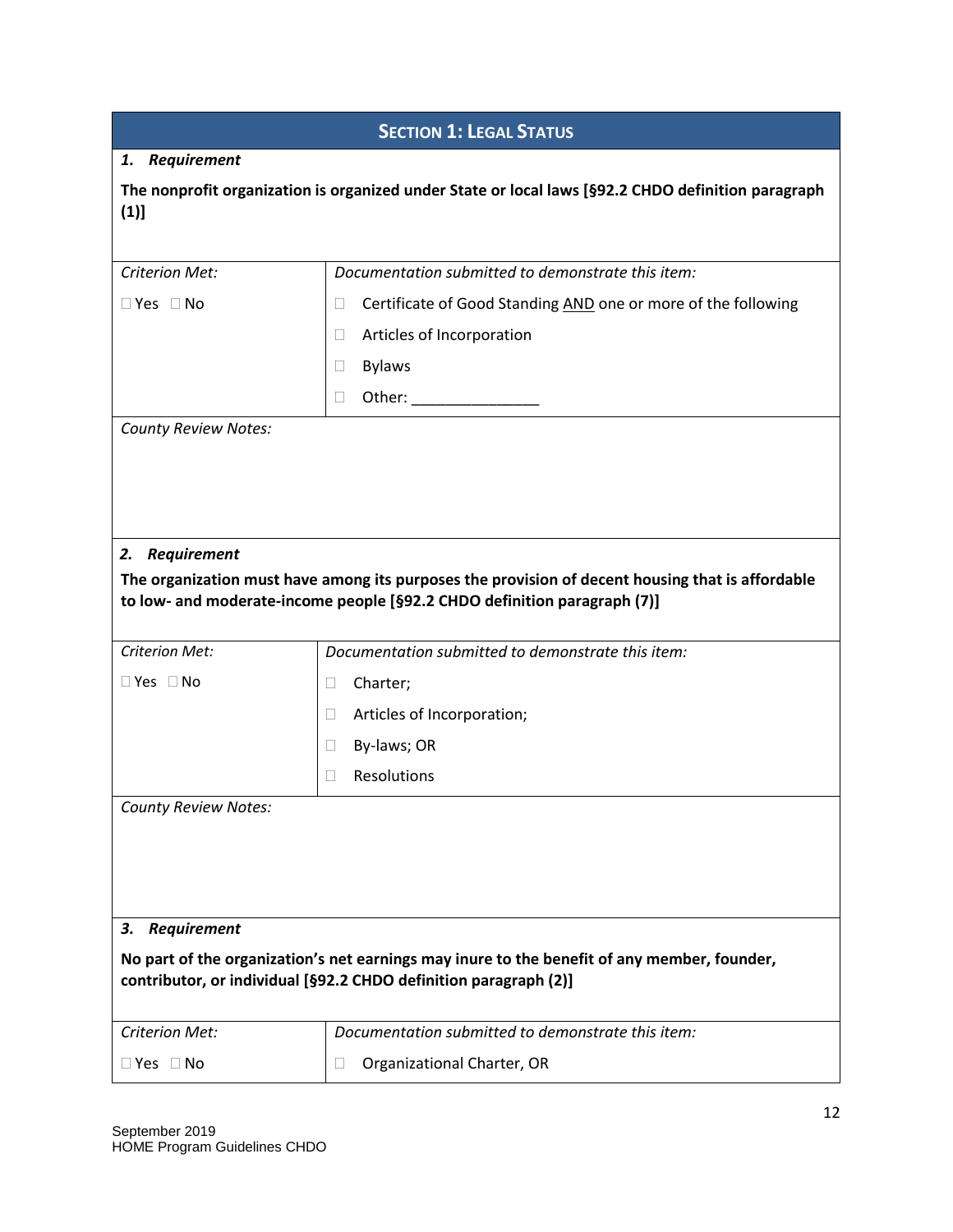| <b>SECTION 1: LEGAL STATUS</b>                                                                                                                                  |                                                                                                                                                                              |  |
|-----------------------------------------------------------------------------------------------------------------------------------------------------------------|------------------------------------------------------------------------------------------------------------------------------------------------------------------------------|--|
| 1. Requirement                                                                                                                                                  |                                                                                                                                                                              |  |
| (1)]                                                                                                                                                            | The nonprofit organization is organized under State or local laws [§92.2 CHDO definition paragraph                                                                           |  |
| Criterion Met:                                                                                                                                                  | Documentation submitted to demonstrate this item:                                                                                                                            |  |
| $\Box$ Yes $\Box$ No                                                                                                                                            | Certificate of Good Standing AND one or more of the following<br>u                                                                                                           |  |
|                                                                                                                                                                 | Articles of Incorporation<br>$\Box$                                                                                                                                          |  |
|                                                                                                                                                                 | <b>Bylaws</b><br>$\Box$                                                                                                                                                      |  |
|                                                                                                                                                                 | Other: _________________<br>u                                                                                                                                                |  |
|                                                                                                                                                                 |                                                                                                                                                                              |  |
| 2. Requirement                                                                                                                                                  | The organization must have among its purposes the provision of decent housing that is affordable<br>to low- and moderate-income people [§92.2 CHDO definition paragraph (7)] |  |
| <b>Criterion Met:</b>                                                                                                                                           | Documentation submitted to demonstrate this item:                                                                                                                            |  |
| $\Box$ Yes $\Box$ No                                                                                                                                            | Charter;<br>$\Box$                                                                                                                                                           |  |
|                                                                                                                                                                 | Articles of Incorporation;<br>$\Box$                                                                                                                                         |  |
|                                                                                                                                                                 | By-laws; OR<br>$\Box$                                                                                                                                                        |  |
|                                                                                                                                                                 | Resolutions<br>П                                                                                                                                                             |  |
| <b>County Review Notes:</b>                                                                                                                                     |                                                                                                                                                                              |  |
| Requirement<br>3.                                                                                                                                               |                                                                                                                                                                              |  |
| No part of the organization's net earnings may inure to the benefit of any member, founder,<br>contributor, or individual [§92.2 CHDO definition paragraph (2)] |                                                                                                                                                                              |  |
| <b>Criterion Met:</b>                                                                                                                                           | Documentation submitted to demonstrate this item:                                                                                                                            |  |
| $\Box$ Yes $\Box$ No                                                                                                                                            | Organizational Charter, OR<br>⊔                                                                                                                                              |  |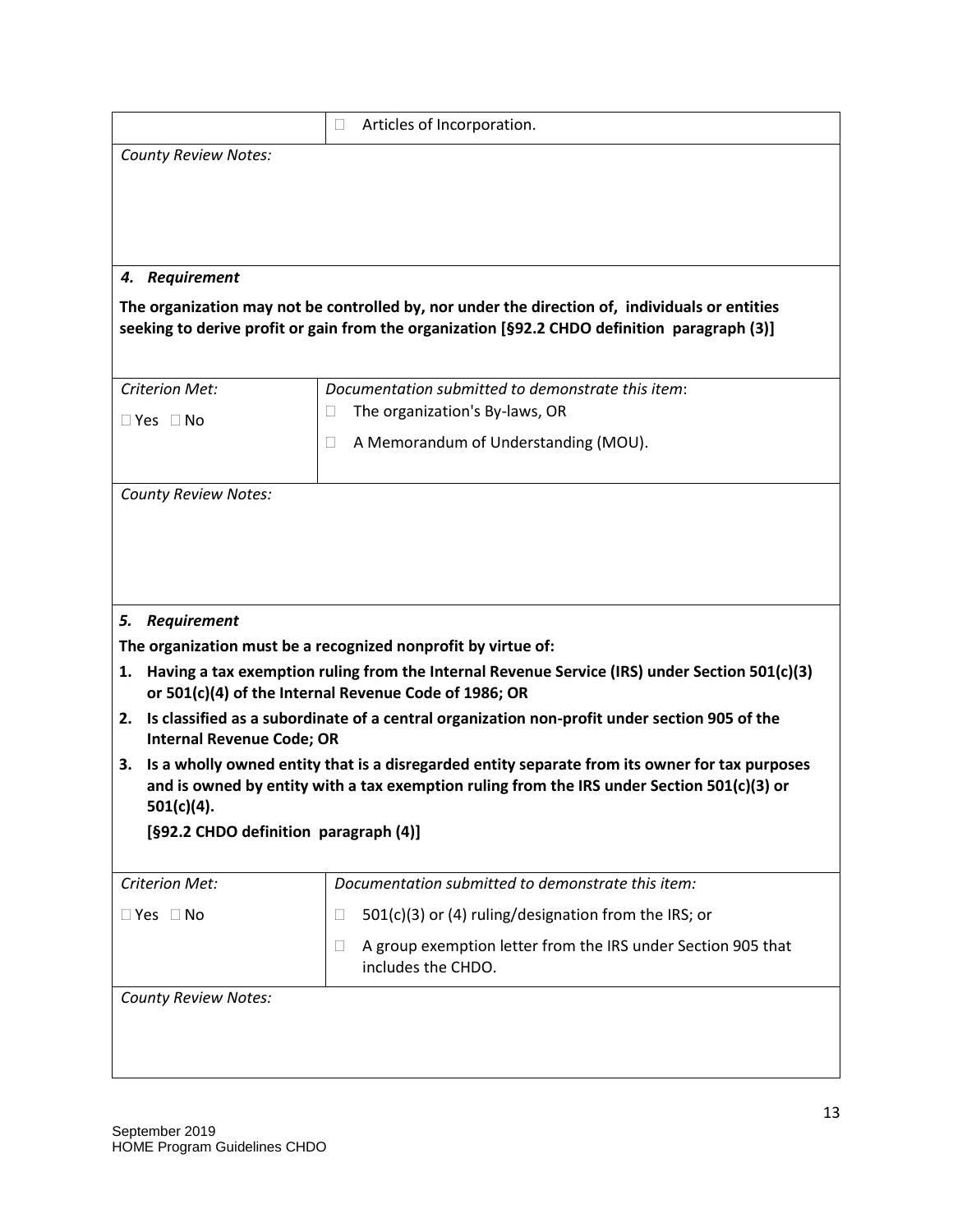|                                                           | Articles of Incorporation.<br>u                                                                                                                                                                |  |  |
|-----------------------------------------------------------|------------------------------------------------------------------------------------------------------------------------------------------------------------------------------------------------|--|--|
| <b>County Review Notes:</b>                               |                                                                                                                                                                                                |  |  |
|                                                           |                                                                                                                                                                                                |  |  |
|                                                           |                                                                                                                                                                                                |  |  |
|                                                           |                                                                                                                                                                                                |  |  |
| 4. Requirement                                            |                                                                                                                                                                                                |  |  |
|                                                           | The organization may not be controlled by, nor under the direction of, individuals or entities<br>seeking to derive profit or gain from the organization [§92.2 CHDO definition paragraph (3)] |  |  |
| <b>Criterion Met:</b>                                     | Documentation submitted to demonstrate this item:                                                                                                                                              |  |  |
| $\Box$ Yes $\Box$ No                                      | The organization's By-laws, OR<br>$\Box$                                                                                                                                                       |  |  |
|                                                           | A Memorandum of Understanding (MOU).<br>П                                                                                                                                                      |  |  |
| <b>County Review Notes:</b>                               |                                                                                                                                                                                                |  |  |
|                                                           |                                                                                                                                                                                                |  |  |
| <b>Requirement</b><br>5.<br>1.                            | The organization must be a recognized nonprofit by virtue of:<br>Having a tax exemption ruling from the Internal Revenue Service (IRS) under Section 501(c)(3)                                 |  |  |
|                                                           | or 501(c)(4) of the Internal Revenue Code of 1986; OR                                                                                                                                          |  |  |
| 2.<br><b>Internal Revenue Code; OR</b>                    | Is classified as a subordinate of a central organization non-profit under section 905 of the                                                                                                   |  |  |
| 3.<br>501(c)(4).<br>[§92.2 CHDO definition paragraph (4)] | Is a wholly owned entity that is a disregarded entity separate from its owner for tax purposes<br>and is owned by entity with a tax exemption ruling from the IRS under Section 501(c)(3) or   |  |  |
| <b>Criterion Met:</b>                                     | Documentation submitted to demonstrate this item:                                                                                                                                              |  |  |
| $\Box$ Yes $\Box$ No                                      | $501(c)(3)$ or (4) ruling/designation from the IRS; or<br>u                                                                                                                                    |  |  |
|                                                           | A group exemption letter from the IRS under Section 905 that<br>u<br>includes the CHDO.                                                                                                        |  |  |
| <b>County Review Notes:</b>                               |                                                                                                                                                                                                |  |  |
|                                                           |                                                                                                                                                                                                |  |  |
|                                                           |                                                                                                                                                                                                |  |  |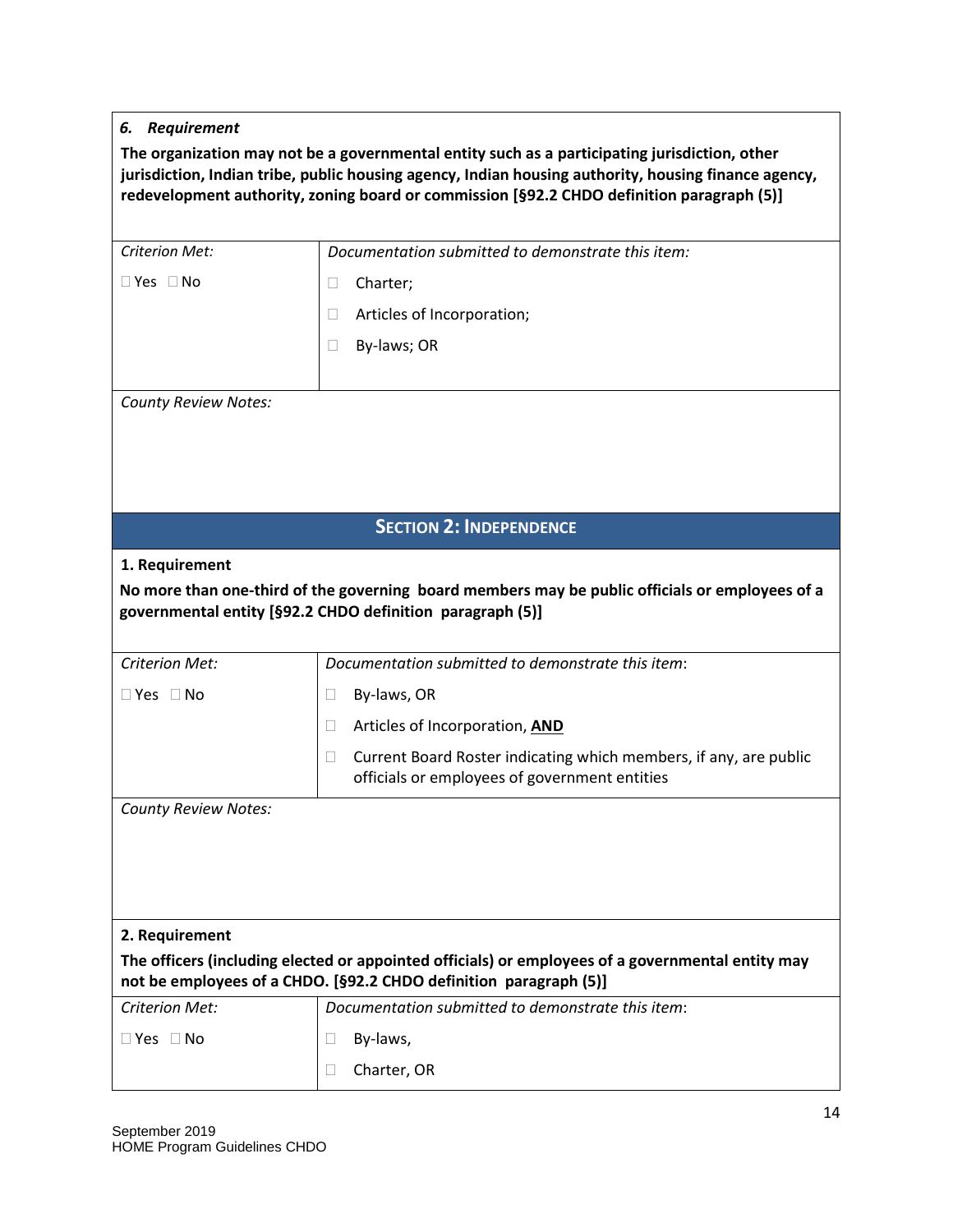#### *6. Requirement*

| The organization may not be a governmental entity such as a participating jurisdiction, other        |
|------------------------------------------------------------------------------------------------------|
| jurisdiction, Indian tribe, public housing agency, Indian housing authority, housing finance agency, |
| redevelopment authority, zoning board or commission [§92.2 CHDO definition paragraph (5)]            |

| <b>Criterion Met:</b>       | Documentation submitted to demonstrate this item:                                                                                                                      |
|-----------------------------|------------------------------------------------------------------------------------------------------------------------------------------------------------------------|
| $\Box$ Yes $\Box$ No        | Charter;<br>$\Box$                                                                                                                                                     |
|                             | Articles of Incorporation;<br>$\Box$                                                                                                                                   |
|                             | By-laws; OR<br>$\Box$                                                                                                                                                  |
|                             |                                                                                                                                                                        |
| <b>County Review Notes:</b> |                                                                                                                                                                        |
|                             |                                                                                                                                                                        |
|                             |                                                                                                                                                                        |
|                             |                                                                                                                                                                        |
|                             | <b>SECTION 2: INDEPENDENCE</b>                                                                                                                                         |
| 1. Requirement              |                                                                                                                                                                        |
|                             | No more than one-third of the governing board members may be public officials or employees of a                                                                        |
|                             | governmental entity [§92.2 CHDO definition paragraph (5)]                                                                                                              |
| <b>Criterion Met:</b>       | Documentation submitted to demonstrate this item:                                                                                                                      |
| $\Box$ Yes $\Box$ No        | By-laws, OR<br>Ш                                                                                                                                                       |
|                             | Articles of Incorporation, AND<br>$\Box$                                                                                                                               |
|                             | Current Board Roster indicating which members, if any, are public<br>$\Box$<br>officials or employees of government entities                                           |
| <b>County Review Notes:</b> |                                                                                                                                                                        |
|                             |                                                                                                                                                                        |
|                             |                                                                                                                                                                        |
|                             |                                                                                                                                                                        |
| 2. Requirement              |                                                                                                                                                                        |
|                             | The officers (including elected or appointed officials) or employees of a governmental entity may<br>not be employees of a CHDO. [§92.2 CHDO definition paragraph (5)] |
| <b>Criterion Met:</b>       | Documentation submitted to demonstrate this item:                                                                                                                      |
| $\Box$ Yes $\Box$ No        | By-laws,<br>⊔                                                                                                                                                          |
|                             | Charter, OR<br>$\Box$                                                                                                                                                  |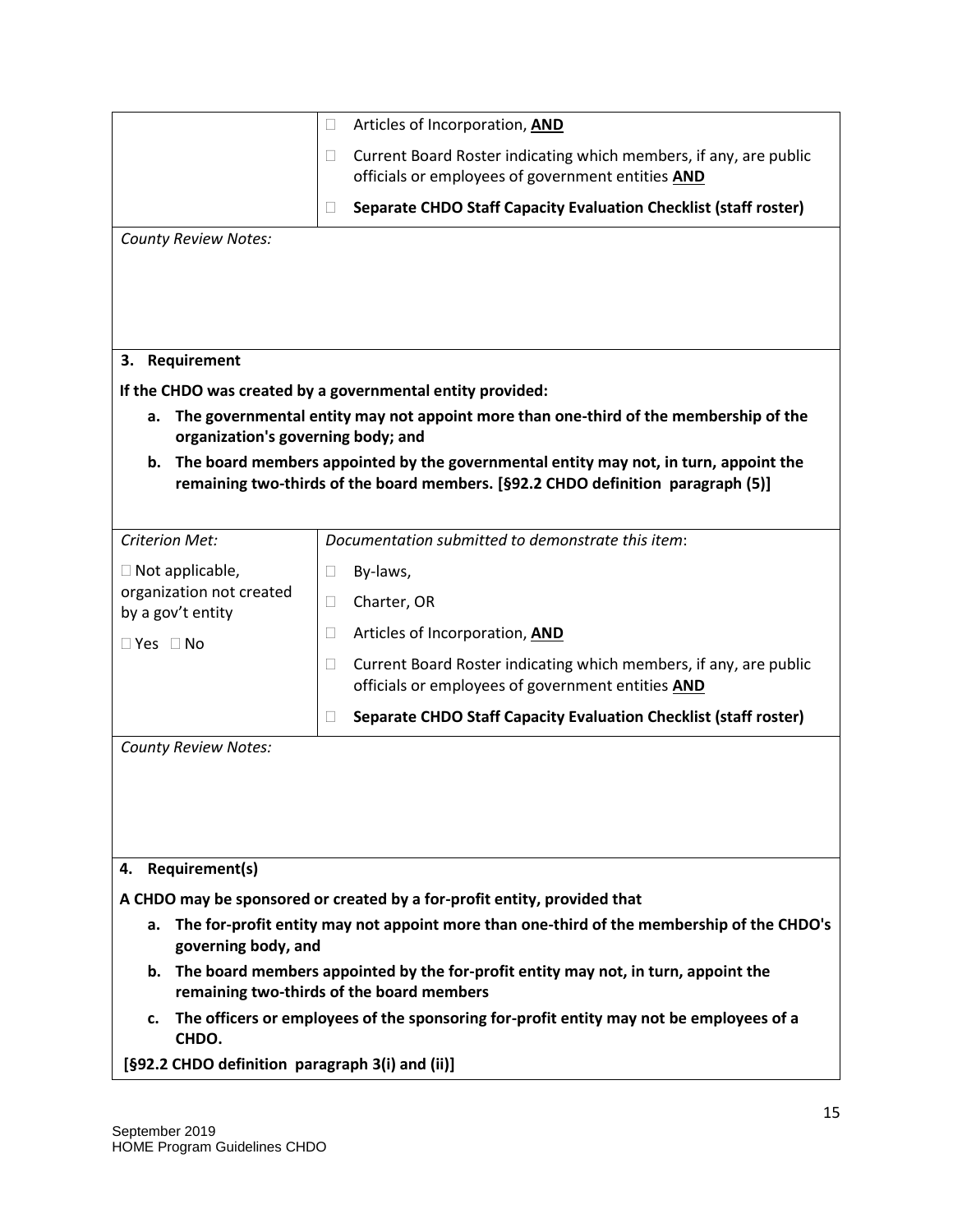|                                                                                            | Articles of Incorporation, AND<br>$\Box$                                                                                         |  |  |
|--------------------------------------------------------------------------------------------|----------------------------------------------------------------------------------------------------------------------------------|--|--|
|                                                                                            | Current Board Roster indicating which members, if any, are public<br>Ш<br>officials or employees of government entities AND      |  |  |
|                                                                                            | Separate CHDO Staff Capacity Evaluation Checklist (staff roster)<br>П                                                            |  |  |
| <b>County Review Notes:</b>                                                                |                                                                                                                                  |  |  |
|                                                                                            |                                                                                                                                  |  |  |
|                                                                                            |                                                                                                                                  |  |  |
|                                                                                            |                                                                                                                                  |  |  |
| Requirement<br>3.                                                                          |                                                                                                                                  |  |  |
|                                                                                            | If the CHDO was created by a governmental entity provided:                                                                       |  |  |
| a.<br>organization's governing body; and                                                   | The governmental entity may not appoint more than one-third of the membership of the                                             |  |  |
| The board members appointed by the governmental entity may not, in turn, appoint the<br>b. |                                                                                                                                  |  |  |
|                                                                                            | remaining two-thirds of the board members. [§92.2 CHDO definition paragraph (5)]                                                 |  |  |
|                                                                                            |                                                                                                                                  |  |  |
| <b>Criterion Met:</b>                                                                      | Documentation submitted to demonstrate this item:                                                                                |  |  |
| $\Box$ Not applicable,                                                                     | By-laws,<br>Ш                                                                                                                    |  |  |
| organization not created<br>by a gov't entity                                              | Charter, OR<br>$\Box$                                                                                                            |  |  |
| $\Box$ Yes $\Box$ No                                                                       | Articles of Incorporation, AND<br>$\Box$                                                                                         |  |  |
|                                                                                            | Current Board Roster indicating which members, if any, are public<br>$\Box$<br>officials or employees of government entities AND |  |  |
|                                                                                            | Separate CHDO Staff Capacity Evaluation Checklist (staff roster)<br>$\Box$                                                       |  |  |
| <b>County Review Notes:</b>                                                                |                                                                                                                                  |  |  |
|                                                                                            |                                                                                                                                  |  |  |
|                                                                                            |                                                                                                                                  |  |  |
|                                                                                            |                                                                                                                                  |  |  |
|                                                                                            |                                                                                                                                  |  |  |
| <b>Requirement(s)</b><br>4.                                                                |                                                                                                                                  |  |  |
|                                                                                            | A CHDO may be sponsored or created by a for-profit entity, provided that                                                         |  |  |
| a.<br>governing body, and                                                                  | The for-profit entity may not appoint more than one-third of the membership of the CHDO's                                        |  |  |
| b.                                                                                         | The board members appointed by the for-profit entity may not, in turn, appoint the<br>remaining two-thirds of the board members  |  |  |
| c.<br>CHDO.                                                                                | The officers or employees of the sponsoring for-profit entity may not be employees of a                                          |  |  |
| [§92.2 CHDO definition paragraph 3(i) and (ii)]                                            |                                                                                                                                  |  |  |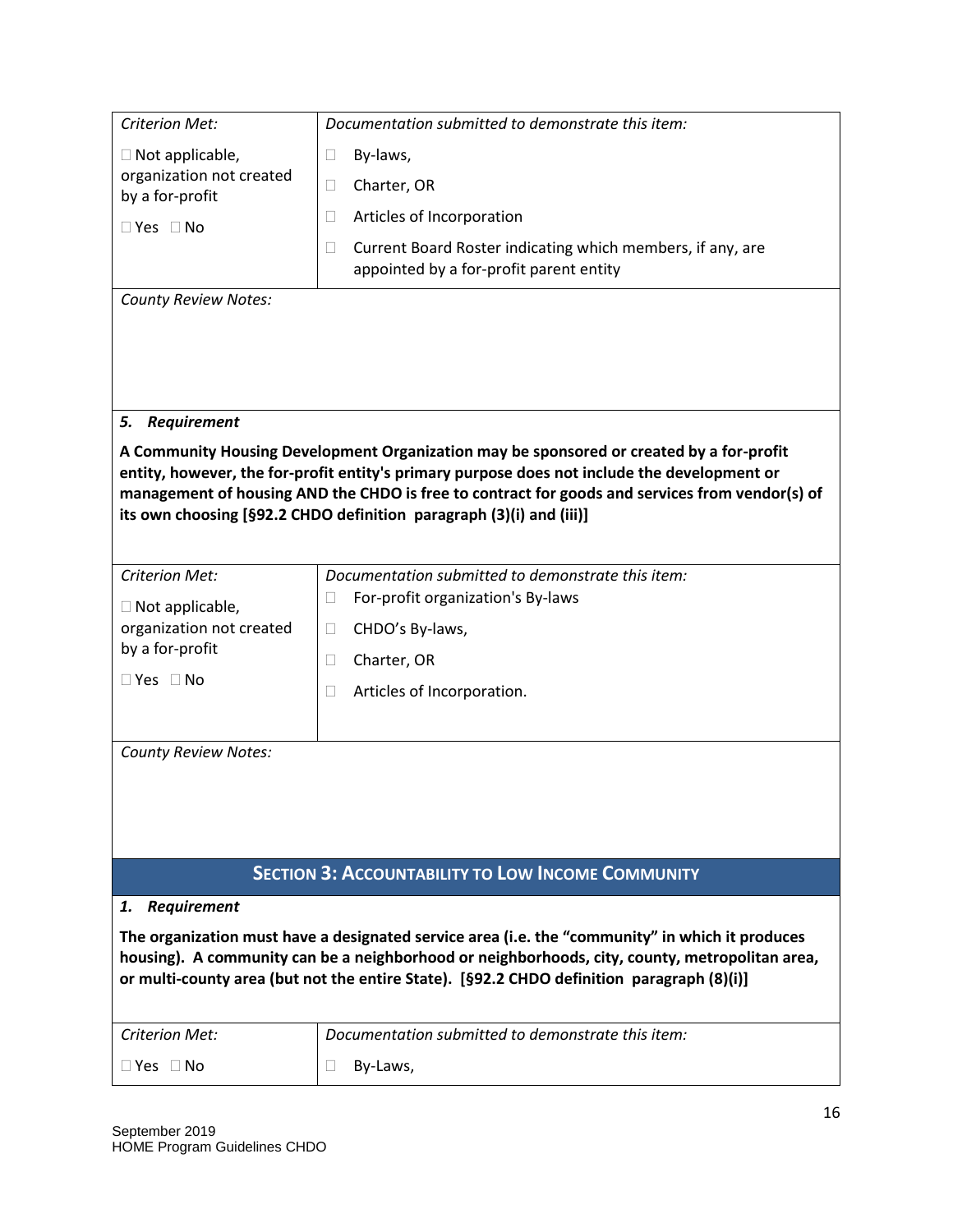| <b>Criterion Met:</b>                       | Documentation submitted to demonstrate this item:                                                                                                                                        |  |  |
|---------------------------------------------|------------------------------------------------------------------------------------------------------------------------------------------------------------------------------------------|--|--|
| $\Box$ Not applicable,                      | By-laws,<br>$\Box$                                                                                                                                                                       |  |  |
| organization not created<br>by a for-profit | Charter, OR<br>П                                                                                                                                                                         |  |  |
| $\Box$ Yes $\Box$ No                        | Articles of Incorporation<br>$\Box$                                                                                                                                                      |  |  |
|                                             | Current Board Roster indicating which members, if any, are<br>$\Box$                                                                                                                     |  |  |
|                                             | appointed by a for-profit parent entity                                                                                                                                                  |  |  |
| <b>County Review Notes:</b>                 |                                                                                                                                                                                          |  |  |
|                                             |                                                                                                                                                                                          |  |  |
|                                             |                                                                                                                                                                                          |  |  |
|                                             |                                                                                                                                                                                          |  |  |
| Requirement<br>5.                           |                                                                                                                                                                                          |  |  |
|                                             | A Community Housing Development Organization may be sponsored or created by a for-profit<br>entity, however, the for-profit entity's primary purpose does not include the development or |  |  |
|                                             | management of housing AND the CHDO is free to contract for goods and services from vendor(s) of                                                                                          |  |  |
|                                             | its own choosing [§92.2 CHDO definition paragraph (3)(i) and (iii)]                                                                                                                      |  |  |
|                                             |                                                                                                                                                                                          |  |  |
| <b>Criterion Met:</b>                       | Documentation submitted to demonstrate this item:                                                                                                                                        |  |  |
| $\Box$ Not applicable,                      | For-profit organization's By-laws<br>Ш                                                                                                                                                   |  |  |
| organization not created<br>by a for-profit | CHDO's By-laws,<br>$\Box$                                                                                                                                                                |  |  |
| $\Box$ Yes $\Box$ No                        | $\Box$<br>Charter, OR                                                                                                                                                                    |  |  |
|                                             | Articles of Incorporation.<br>$\Box$                                                                                                                                                     |  |  |
|                                             |                                                                                                                                                                                          |  |  |
| <b>County Review Notes:</b>                 |                                                                                                                                                                                          |  |  |
|                                             |                                                                                                                                                                                          |  |  |
|                                             |                                                                                                                                                                                          |  |  |
|                                             |                                                                                                                                                                                          |  |  |
|                                             | <b>SECTION 3: ACCOUNTABILITY TO LOW INCOME COMMUNITY</b>                                                                                                                                 |  |  |
| <b>Requirement</b><br>1.                    |                                                                                                                                                                                          |  |  |
|                                             | The organization must have a designated service area (i.e. the "community" in which it produces                                                                                          |  |  |
|                                             | housing). A community can be a neighborhood or neighborhoods, city, county, metropolitan area,                                                                                           |  |  |
|                                             | or multi-county area (but not the entire State). [§92.2 CHDO definition paragraph (8)(i)]                                                                                                |  |  |
| Criterion Met:                              | Documentation submitted to demonstrate this item:                                                                                                                                        |  |  |
| $\Box$ Yes $\Box$ No                        | $\Box$<br>By-Laws,                                                                                                                                                                       |  |  |
|                                             |                                                                                                                                                                                          |  |  |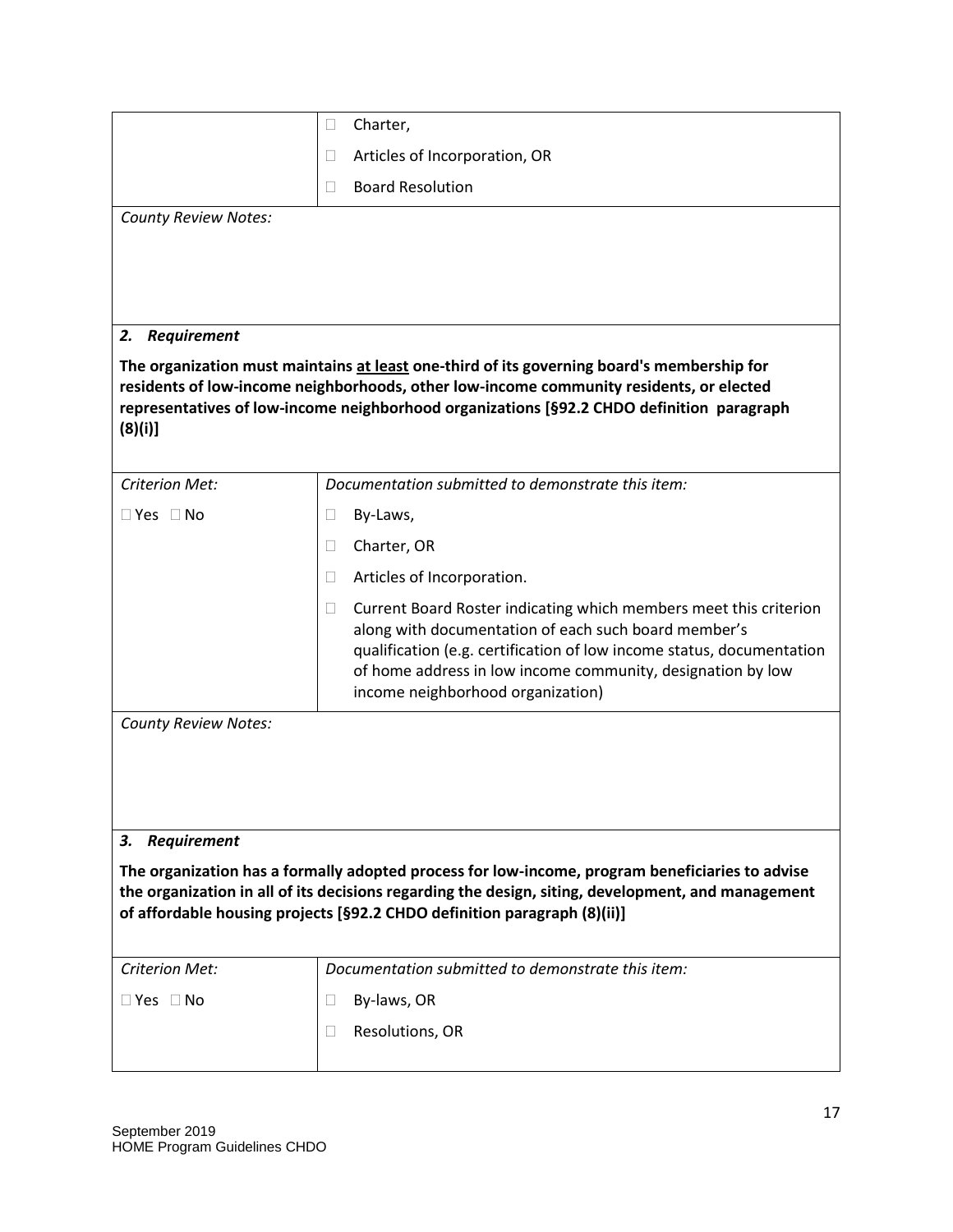|                             | Charter,<br>$\Box$                                                                                                                                                                                                                                                                                               |  |  |
|-----------------------------|------------------------------------------------------------------------------------------------------------------------------------------------------------------------------------------------------------------------------------------------------------------------------------------------------------------|--|--|
|                             | Articles of Incorporation, OR<br>$\Box$                                                                                                                                                                                                                                                                          |  |  |
|                             | <b>Board Resolution</b><br>$\Box$                                                                                                                                                                                                                                                                                |  |  |
| <b>County Review Notes:</b> |                                                                                                                                                                                                                                                                                                                  |  |  |
|                             |                                                                                                                                                                                                                                                                                                                  |  |  |
|                             |                                                                                                                                                                                                                                                                                                                  |  |  |
|                             |                                                                                                                                                                                                                                                                                                                  |  |  |
| 2. Requirement              |                                                                                                                                                                                                                                                                                                                  |  |  |
| (8)(i)                      | The organization must maintains at least one-third of its governing board's membership for<br>residents of low-income neighborhoods, other low-income community residents, or elected<br>representatives of low-income neighborhood organizations [§92.2 CHDO definition paragraph                               |  |  |
| <b>Criterion Met:</b>       | Documentation submitted to demonstrate this item:                                                                                                                                                                                                                                                                |  |  |
| $\Box$ Yes $\Box$ No        | $\Box$<br>By-Laws,                                                                                                                                                                                                                                                                                               |  |  |
|                             | Charter, OR<br>$\Box$                                                                                                                                                                                                                                                                                            |  |  |
|                             | Articles of Incorporation.<br>$\Box$                                                                                                                                                                                                                                                                             |  |  |
|                             | Current Board Roster indicating which members meet this criterion<br>$\Box$<br>along with documentation of each such board member's<br>qualification (e.g. certification of low income status, documentation<br>of home address in low income community, designation by low<br>income neighborhood organization) |  |  |
| <b>County Review Notes:</b> |                                                                                                                                                                                                                                                                                                                  |  |  |
|                             |                                                                                                                                                                                                                                                                                                                  |  |  |
|                             |                                                                                                                                                                                                                                                                                                                  |  |  |
|                             |                                                                                                                                                                                                                                                                                                                  |  |  |
| <b>Requirement</b><br>З.    |                                                                                                                                                                                                                                                                                                                  |  |  |
|                             | The organization has a formally adopted process for low-income, program beneficiaries to advise<br>the organization in all of its decisions regarding the design, siting, development, and management<br>of affordable housing projects [§92.2 CHDO definition paragraph (8)(ii)]                                |  |  |
| <b>Criterion Met:</b>       | Documentation submitted to demonstrate this item:                                                                                                                                                                                                                                                                |  |  |
| $\Box$ Yes $\Box$ No        | By-laws, OR<br>$\Box$                                                                                                                                                                                                                                                                                            |  |  |
|                             | П<br>Resolutions, OR                                                                                                                                                                                                                                                                                             |  |  |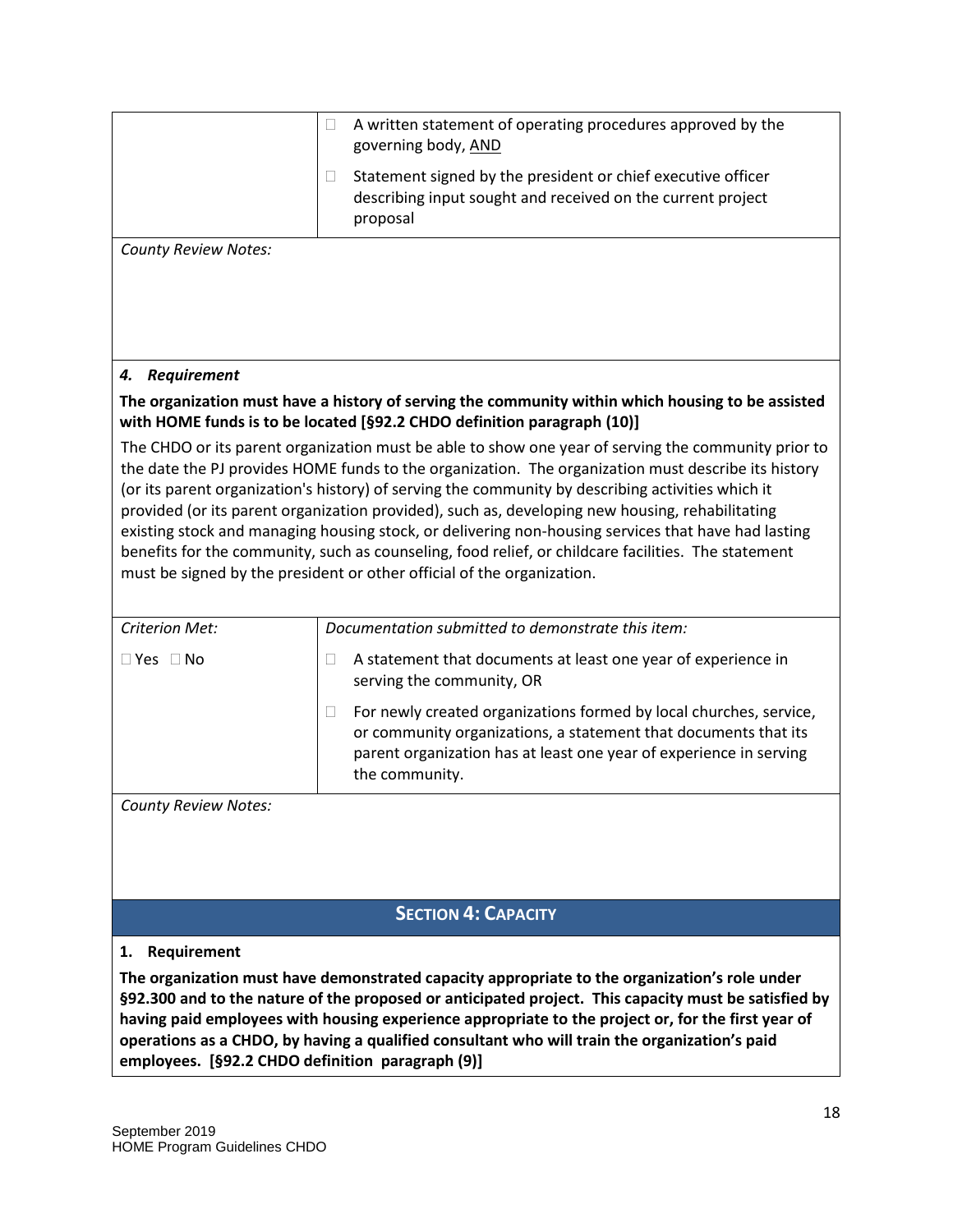|                             | A written statement of operating procedures approved by the<br>$\Box$<br>governing body, AND                                                                                                                                                                                                                                                                                                                                                                                                                                                                                                                                                                                                               |
|-----------------------------|------------------------------------------------------------------------------------------------------------------------------------------------------------------------------------------------------------------------------------------------------------------------------------------------------------------------------------------------------------------------------------------------------------------------------------------------------------------------------------------------------------------------------------------------------------------------------------------------------------------------------------------------------------------------------------------------------------|
|                             | Statement signed by the president or chief executive officer<br>$\Box$<br>describing input sought and received on the current project<br>proposal                                                                                                                                                                                                                                                                                                                                                                                                                                                                                                                                                          |
| <b>County Review Notes:</b> |                                                                                                                                                                                                                                                                                                                                                                                                                                                                                                                                                                                                                                                                                                            |
|                             |                                                                                                                                                                                                                                                                                                                                                                                                                                                                                                                                                                                                                                                                                                            |
| 4. Requirement              |                                                                                                                                                                                                                                                                                                                                                                                                                                                                                                                                                                                                                                                                                                            |
|                             | The organization must have a history of serving the community within which housing to be assisted<br>with HOME funds is to be located [§92.2 CHDO definition paragraph (10)]                                                                                                                                                                                                                                                                                                                                                                                                                                                                                                                               |
|                             | The CHDO or its parent organization must be able to show one year of serving the community prior to<br>the date the PJ provides HOME funds to the organization. The organization must describe its history<br>(or its parent organization's history) of serving the community by describing activities which it<br>provided (or its parent organization provided), such as, developing new housing, rehabilitating<br>existing stock and managing housing stock, or delivering non-housing services that have had lasting<br>benefits for the community, such as counseling, food relief, or childcare facilities. The statement<br>must be signed by the president or other official of the organization. |
| <b>Criterion Met:</b>       | Documentation submitted to demonstrate this item:                                                                                                                                                                                                                                                                                                                                                                                                                                                                                                                                                                                                                                                          |
| $\Box$ Yes $\Box$ No        | A statement that documents at least one year of experience in<br>П<br>serving the community, OR                                                                                                                                                                                                                                                                                                                                                                                                                                                                                                                                                                                                            |
|                             | For newly created organizations formed by local churches, service,<br>$\Box$<br>or community organizations, a statement that documents that its<br>parent organization has at least one year of experience in serving<br>the community.                                                                                                                                                                                                                                                                                                                                                                                                                                                                    |
| <b>County Review Notes:</b> |                                                                                                                                                                                                                                                                                                                                                                                                                                                                                                                                                                                                                                                                                                            |
|                             |                                                                                                                                                                                                                                                                                                                                                                                                                                                                                                                                                                                                                                                                                                            |
|                             | <b>SECTION 4: CAPACITY</b>                                                                                                                                                                                                                                                                                                                                                                                                                                                                                                                                                                                                                                                                                 |

#### **1. Requirement**

**The organization must have demonstrated capacity appropriate to the organization's role under §92.300 and to the nature of the proposed or anticipated project. This capacity must be satisfied by having paid employees with housing experience appropriate to the project or, for the first year of operations as a CHDO, by having a qualified consultant who will train the organization's paid employees. [§92.2 CHDO definition paragraph (9)]**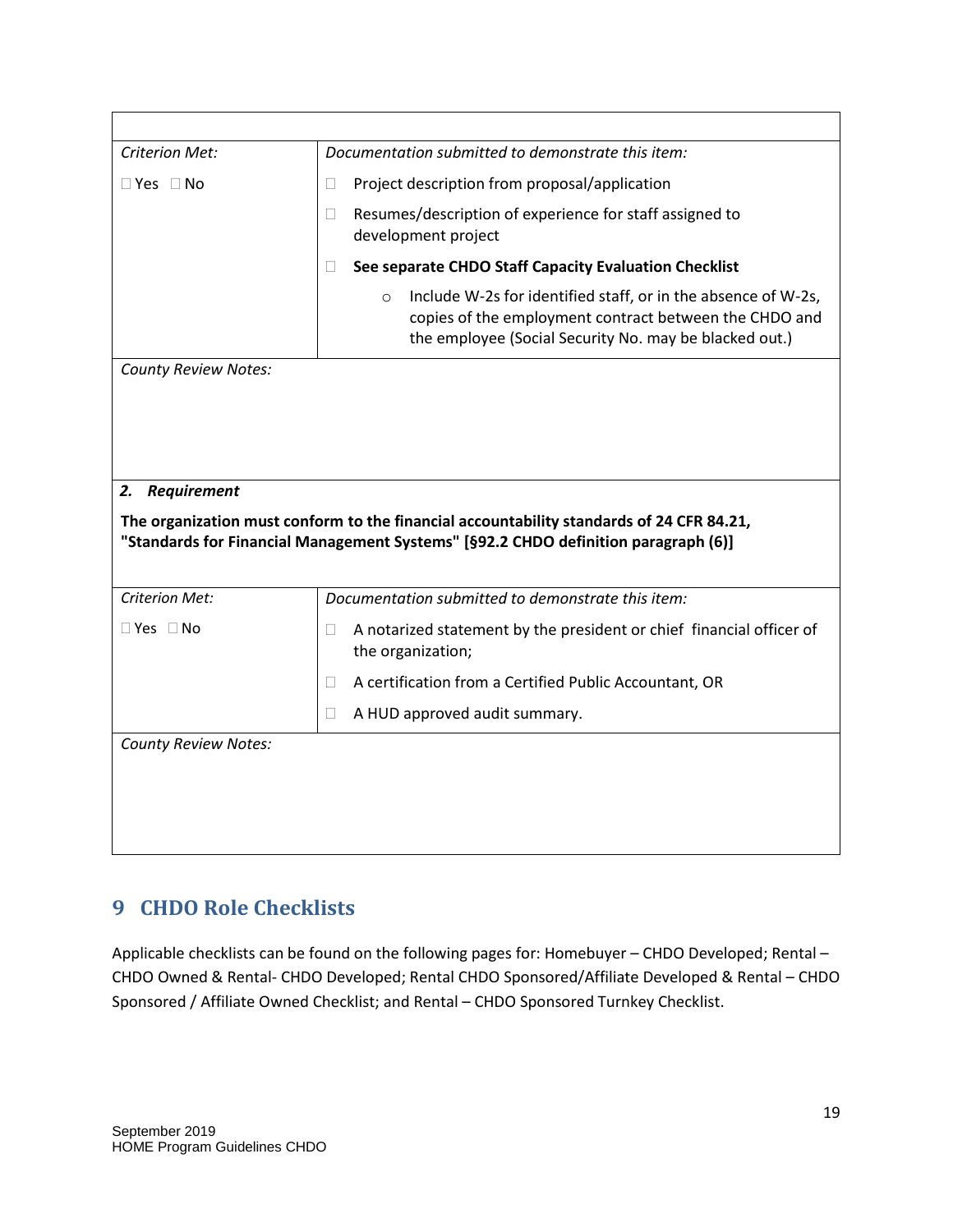| <b>Criterion Met:</b>       | Documentation submitted to demonstrate this item:                                                                                                                                            |
|-----------------------------|----------------------------------------------------------------------------------------------------------------------------------------------------------------------------------------------|
| $\Box$ Yes $\Box$ No        | Project description from proposal/application<br>$\Box$                                                                                                                                      |
|                             | Resumes/description of experience for staff assigned to<br>$\Box$<br>development project                                                                                                     |
|                             | See separate CHDO Staff Capacity Evaluation Checklist<br>$\Box$                                                                                                                              |
|                             | Include W-2s for identified staff, or in the absence of W-2s,<br>$\circ$<br>copies of the employment contract between the CHDO and<br>the employee (Social Security No. may be blacked out.) |
| <b>County Review Notes:</b> |                                                                                                                                                                                              |
|                             |                                                                                                                                                                                              |
|                             |                                                                                                                                                                                              |
|                             |                                                                                                                                                                                              |
|                             |                                                                                                                                                                                              |
| <b>Requirement</b><br>2.    | The organization must conform to the financial accountability standards of 24 CFR 84.21,<br>"Standards for Financial Management Systems" [§92.2 CHDO definition paragraph (6)]               |
| <b>Criterion Met:</b>       | Documentation submitted to demonstrate this item:                                                                                                                                            |
| $\Box$ Yes $\Box$ No        | A notarized statement by the president or chief financial officer of<br>$\Box$<br>the organization;                                                                                          |
|                             |                                                                                                                                                                                              |
|                             | A certification from a Certified Public Accountant, OR<br>$\mathbb{R}^n$                                                                                                                     |
|                             | A HUD approved audit summary.<br>$\Box$                                                                                                                                                      |
| <b>County Review Notes:</b> |                                                                                                                                                                                              |
|                             |                                                                                                                                                                                              |
|                             |                                                                                                                                                                                              |
|                             |                                                                                                                                                                                              |

## <span id="page-19-0"></span>**9 CHDO Role Checklists**

Applicable checklists can be found on the following pages for: Homebuyer – CHDO Developed; Rental – CHDO Owned & Rental- CHDO Developed; Rental CHDO Sponsored/Affiliate Developed & Rental – CHDO Sponsored / Affiliate Owned Checklist; and Rental – CHDO Sponsored Turnkey Checklist.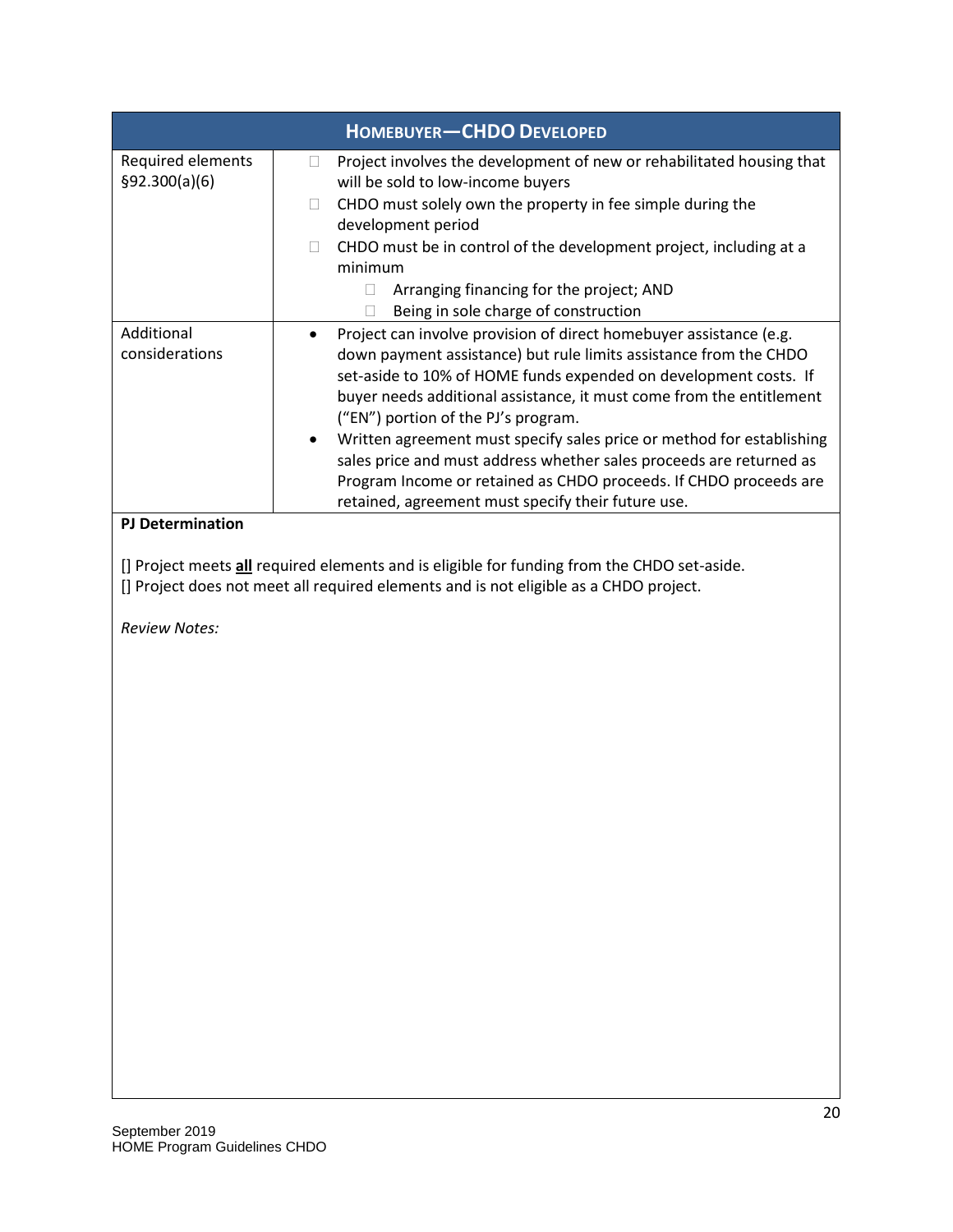| <b>HOMEBUYER-CHDO DEVELOPED</b>     |                                                                                                                                                                                                                                                                                                                                                                                                                                                                                                                                                                                                                    |
|-------------------------------------|--------------------------------------------------------------------------------------------------------------------------------------------------------------------------------------------------------------------------------------------------------------------------------------------------------------------------------------------------------------------------------------------------------------------------------------------------------------------------------------------------------------------------------------------------------------------------------------------------------------------|
| Required elements<br>\$92.300(a)(6) | Project involves the development of new or rehabilitated housing that<br>will be sold to low-income buyers<br>CHDO must solely own the property in fee simple during the<br>$\Box$<br>development period<br>CHDO must be in control of the development project, including at a<br>minimum                                                                                                                                                                                                                                                                                                                          |
|                                     | Arranging financing for the project; AND<br>Being in sole charge of construction                                                                                                                                                                                                                                                                                                                                                                                                                                                                                                                                   |
| Additional<br>considerations        | Project can involve provision of direct homebuyer assistance (e.g.<br>down payment assistance) but rule limits assistance from the CHDO<br>set-aside to 10% of HOME funds expended on development costs. If<br>buyer needs additional assistance, it must come from the entitlement<br>("EN") portion of the PJ's program.<br>Written agreement must specify sales price or method for establishing<br>$\bullet$<br>sales price and must address whether sales proceeds are returned as<br>Program Income or retained as CHDO proceeds. If CHDO proceeds are<br>retained, agreement must specify their future use. |
| <b>PJ Determination</b>             |                                                                                                                                                                                                                                                                                                                                                                                                                                                                                                                                                                                                                    |
|                                     | [] Project meets all required elements and is eligible for funding from the CHDO set-aside.                                                                                                                                                                                                                                                                                                                                                                                                                                                                                                                        |

[] Project does not meet all required elements and is not eligible as a CHDO project.

*Review Notes:*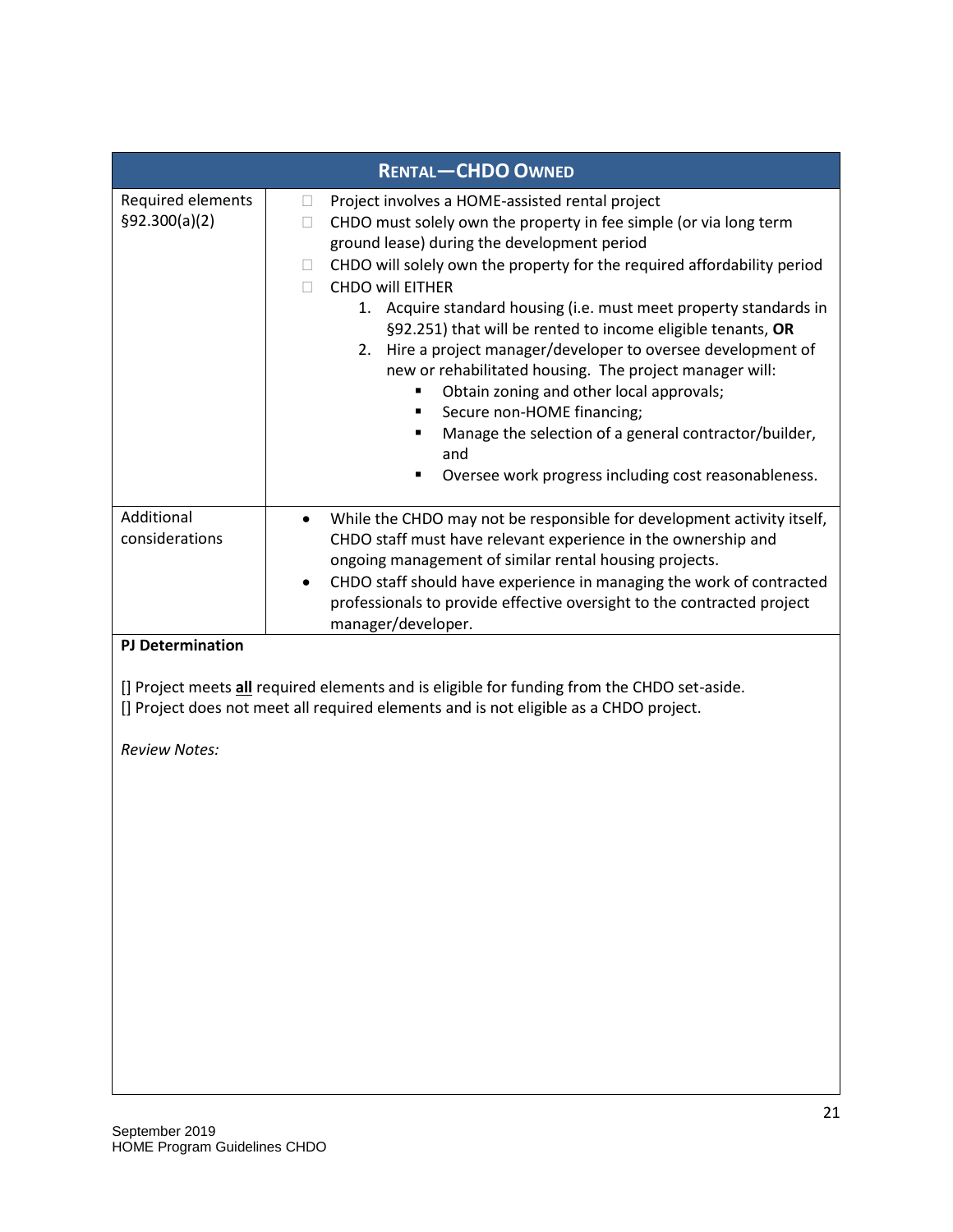|                                     | <b>RENTAL-CHDO OWNED</b>                                                                                                                                                                                                                                                                                                                                                                                                                                                                                                                                                                                                                                                                                                                                                                 |
|-------------------------------------|------------------------------------------------------------------------------------------------------------------------------------------------------------------------------------------------------------------------------------------------------------------------------------------------------------------------------------------------------------------------------------------------------------------------------------------------------------------------------------------------------------------------------------------------------------------------------------------------------------------------------------------------------------------------------------------------------------------------------------------------------------------------------------------|
| Required elements<br>\$92.300(a)(2) | Project involves a HOME-assisted rental project<br>u<br>CHDO must solely own the property in fee simple (or via long term<br>$\Box$<br>ground lease) during the development period<br>CHDO will solely own the property for the required affordability period<br>⊔<br><b>CHDO will EITHER</b><br>П<br>1. Acquire standard housing (i.e. must meet property standards in<br>§92.251) that will be rented to income eligible tenants, OR<br>2. Hire a project manager/developer to oversee development of<br>new or rehabilitated housing. The project manager will:<br>Obtain zoning and other local approvals;<br>٠<br>Secure non-HOME financing;<br>٠<br>Manage the selection of a general contractor/builder,<br>٠<br>and<br>Oversee work progress including cost reasonableness.<br>٠ |
| Additional<br>considerations        | While the CHDO may not be responsible for development activity itself,<br>CHDO staff must have relevant experience in the ownership and<br>ongoing management of similar rental housing projects.<br>CHDO staff should have experience in managing the work of contracted<br>professionals to provide effective oversight to the contracted project<br>manager/developer.                                                                                                                                                                                                                                                                                                                                                                                                                |
| <b>PJ Determination</b>             |                                                                                                                                                                                                                                                                                                                                                                                                                                                                                                                                                                                                                                                                                                                                                                                          |
|                                     | [] Project meets all required elements and is eligible for funding from the CHDO set-aside.<br>[] Project does not meet all required elements and is not eligible as a CHDO project.                                                                                                                                                                                                                                                                                                                                                                                                                                                                                                                                                                                                     |
| <b>Review Notes:</b>                |                                                                                                                                                                                                                                                                                                                                                                                                                                                                                                                                                                                                                                                                                                                                                                                          |
|                                     |                                                                                                                                                                                                                                                                                                                                                                                                                                                                                                                                                                                                                                                                                                                                                                                          |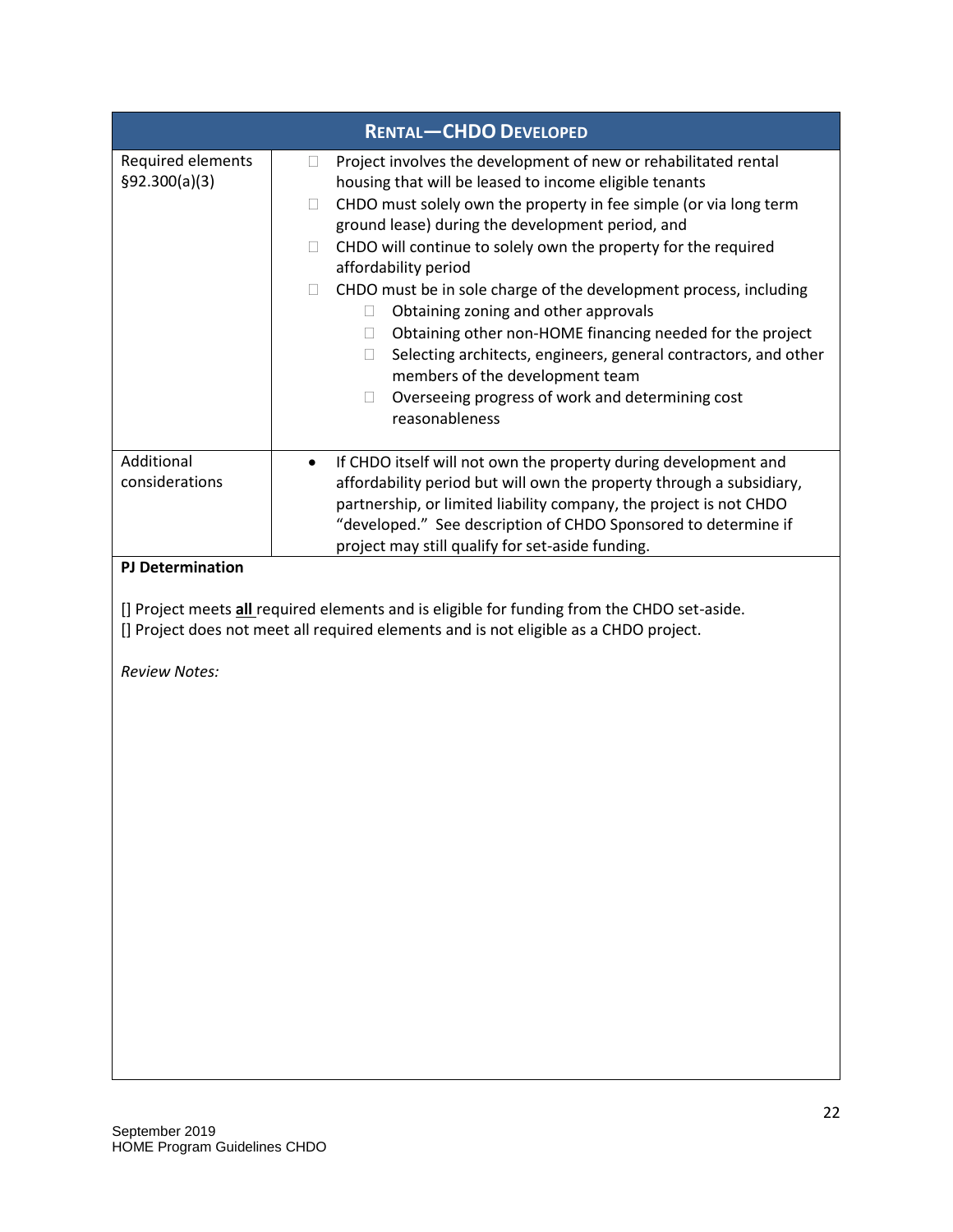| <b>RENTAL-CHDO DEVELOPED</b>                                                                                                                                                                                                                                                                                                                                                                                                                                                                                                                                                                                                                                                                                                                                                    |
|---------------------------------------------------------------------------------------------------------------------------------------------------------------------------------------------------------------------------------------------------------------------------------------------------------------------------------------------------------------------------------------------------------------------------------------------------------------------------------------------------------------------------------------------------------------------------------------------------------------------------------------------------------------------------------------------------------------------------------------------------------------------------------|
| Project involves the development of new or rehabilitated rental<br>u<br>housing that will be leased to income eligible tenants<br>CHDO must solely own the property in fee simple (or via long term<br>$\Box$<br>ground lease) during the development period, and<br>CHDO will continue to solely own the property for the required<br>$\Box$<br>affordability period<br>CHDO must be in sole charge of the development process, including<br>П.<br>Obtaining zoning and other approvals<br>$\Box$<br>Obtaining other non-HOME financing needed for the project<br>$\Box$<br>Selecting architects, engineers, general contractors, and other<br>$\mathbb{R}$<br>members of the development team<br>Overseeing progress of work and determining cost<br>$\Box$<br>reasonableness |
| If CHDO itself will not own the property during development and<br>$\bullet$<br>affordability period but will own the property through a subsidiary,<br>partnership, or limited liability company, the project is not CHDO<br>"developed." See description of CHDO Sponsored to determine if<br>project may still qualify for set-aside funding.                                                                                                                                                                                                                                                                                                                                                                                                                                |
| [] Project meets <i>all</i> required elements and is eligible for funding from the CHDO set-aside.<br>[] Project does not meet all required elements and is not eligible as a CHDO project.                                                                                                                                                                                                                                                                                                                                                                                                                                                                                                                                                                                     |
|                                                                                                                                                                                                                                                                                                                                                                                                                                                                                                                                                                                                                                                                                                                                                                                 |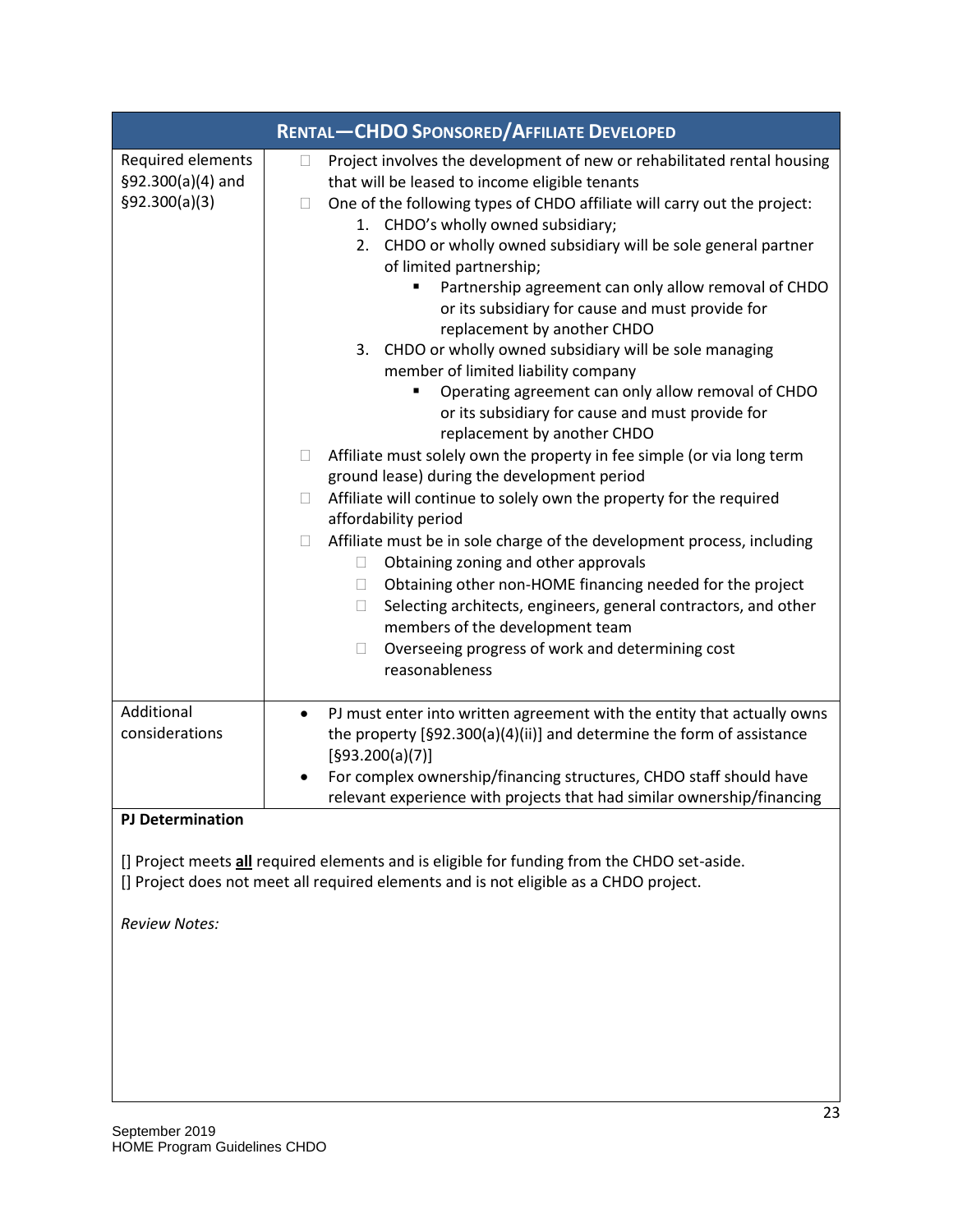| <b>RENTAL-CHDO SPONSORED/AFFILIATE DEVELOPED</b>        |                                                                                                                                                                                                                                                                                                                                                                                                                                                                                                                                                                                                                                                                                                                                                                                                                                                                                                                                                                                                                                                                                                                                                                                                                                                                                                                                                                                                        |
|---------------------------------------------------------|--------------------------------------------------------------------------------------------------------------------------------------------------------------------------------------------------------------------------------------------------------------------------------------------------------------------------------------------------------------------------------------------------------------------------------------------------------------------------------------------------------------------------------------------------------------------------------------------------------------------------------------------------------------------------------------------------------------------------------------------------------------------------------------------------------------------------------------------------------------------------------------------------------------------------------------------------------------------------------------------------------------------------------------------------------------------------------------------------------------------------------------------------------------------------------------------------------------------------------------------------------------------------------------------------------------------------------------------------------------------------------------------------------|
| Required elements<br>§92.300(a)(4) and<br>§92.300(a)(3) | Project involves the development of new or rehabilitated rental housing<br>$\Box$<br>that will be leased to income eligible tenants<br>One of the following types of CHDO affiliate will carry out the project:<br>П<br>1. CHDO's wholly owned subsidiary;<br>CHDO or wholly owned subsidiary will be sole general partner<br>2.<br>of limited partnership;<br>Partnership agreement can only allow removal of CHDO<br>or its subsidiary for cause and must provide for<br>replacement by another CHDO<br>3. CHDO or wholly owned subsidiary will be sole managing<br>member of limited liability company<br>Operating agreement can only allow removal of CHDO<br>or its subsidiary for cause and must provide for<br>replacement by another CHDO<br>Affiliate must solely own the property in fee simple (or via long term<br>$\Box$<br>ground lease) during the development period<br>Affiliate will continue to solely own the property for the required<br>$\Box$<br>affordability period<br>Affiliate must be in sole charge of the development process, including<br>$\Box$<br>Obtaining zoning and other approvals<br>$\Box$<br>Obtaining other non-HOME financing needed for the project<br>$\Box$<br>Selecting architects, engineers, general contractors, and other<br>Ц<br>members of the development team<br>Overseeing progress of work and determining cost<br>$\Box$<br>reasonableness |
| Additional<br>considerations                            | PJ must enter into written agreement with the entity that actually owns<br>the property [§92.300(a)(4)(ii)] and determine the form of assistance<br>[§93.200(a)(7)]<br>For complex ownership/financing structures, CHDO staff should have<br>relevant experience with projects that had similar ownership/financing                                                                                                                                                                                                                                                                                                                                                                                                                                                                                                                                                                                                                                                                                                                                                                                                                                                                                                                                                                                                                                                                                    |
| <b>PJ Determination</b><br><b>Review Notes:</b>         | [] Project meets all required elements and is eligible for funding from the CHDO set-aside.<br>[] Project does not meet all required elements and is not eligible as a CHDO project.                                                                                                                                                                                                                                                                                                                                                                                                                                                                                                                                                                                                                                                                                                                                                                                                                                                                                                                                                                                                                                                                                                                                                                                                                   |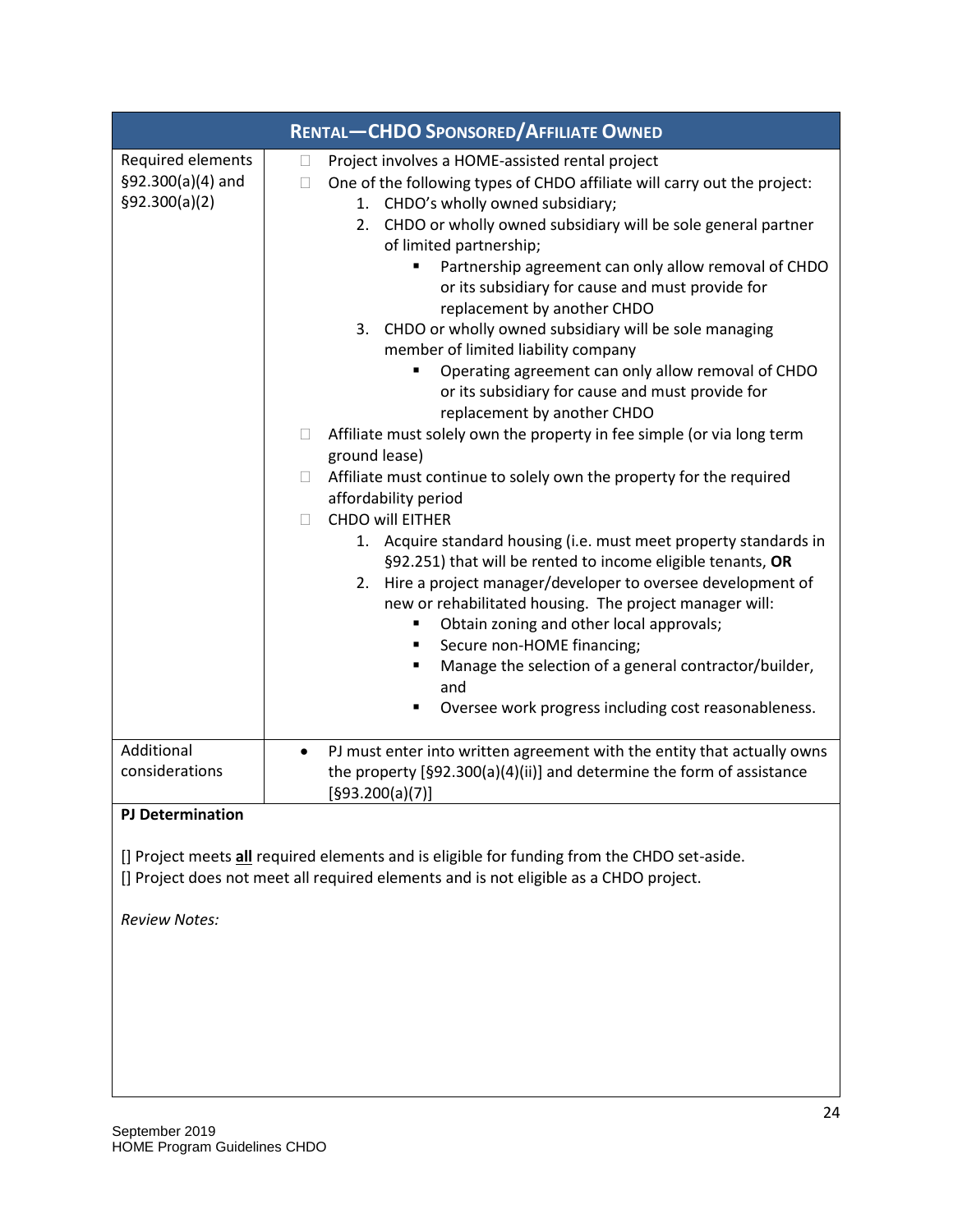| <b>RENTAL-CHDO SPONSORED/AFFILIATE OWNED</b>            |                                                                                                                                                                                                                                                                                                                                                                                                                                                                                                                                                                                                                                                                                                                                                                                                                                                                                                                                                                                                                                                                                                                                                                                                                                                                                                                                                                                                                       |
|---------------------------------------------------------|-----------------------------------------------------------------------------------------------------------------------------------------------------------------------------------------------------------------------------------------------------------------------------------------------------------------------------------------------------------------------------------------------------------------------------------------------------------------------------------------------------------------------------------------------------------------------------------------------------------------------------------------------------------------------------------------------------------------------------------------------------------------------------------------------------------------------------------------------------------------------------------------------------------------------------------------------------------------------------------------------------------------------------------------------------------------------------------------------------------------------------------------------------------------------------------------------------------------------------------------------------------------------------------------------------------------------------------------------------------------------------------------------------------------------|
| Required elements<br>§92.300(a)(4) and<br>§92.300(a)(2) | Project involves a HOME-assisted rental project<br>$\Box$<br>One of the following types of CHDO affiliate will carry out the project:<br>$\Box$<br>1. CHDO's wholly owned subsidiary;<br>CHDO or wholly owned subsidiary will be sole general partner<br>2.<br>of limited partnership;<br>Partnership agreement can only allow removal of CHDO<br>or its subsidiary for cause and must provide for<br>replacement by another CHDO<br>CHDO or wholly owned subsidiary will be sole managing<br>3.<br>member of limited liability company<br>Operating agreement can only allow removal of CHDO<br>or its subsidiary for cause and must provide for<br>replacement by another CHDO<br>Affiliate must solely own the property in fee simple (or via long term<br>$\Box$<br>ground lease)<br>Affiliate must continue to solely own the property for the required<br>$\mathbb{R}^n$<br>affordability period<br><b>CHDO will EITHER</b><br>П<br>1. Acquire standard housing (i.e. must meet property standards in<br>§92.251) that will be rented to income eligible tenants, OR<br>Hire a project manager/developer to oversee development of<br>2.<br>new or rehabilitated housing. The project manager will:<br>Obtain zoning and other local approvals;<br>Secure non-HOME financing;<br>٠<br>Manage the selection of a general contractor/builder,<br>٠<br>and<br>Oversee work progress including cost reasonableness. |
| Additional<br>considerations                            | PJ must enter into written agreement with the entity that actually owns<br>$\bullet$<br>the property [§92.300(a)(4)(ii)] and determine the form of assistance<br>[§93.200(a)(7)]                                                                                                                                                                                                                                                                                                                                                                                                                                                                                                                                                                                                                                                                                                                                                                                                                                                                                                                                                                                                                                                                                                                                                                                                                                      |
| <b>PJ Determination</b><br><b>Review Notes:</b>         | [] Project meets <i>all</i> required elements and is eligible for funding from the CHDO set-aside.<br>[] Project does not meet all required elements and is not eligible as a CHDO project.                                                                                                                                                                                                                                                                                                                                                                                                                                                                                                                                                                                                                                                                                                                                                                                                                                                                                                                                                                                                                                                                                                                                                                                                                           |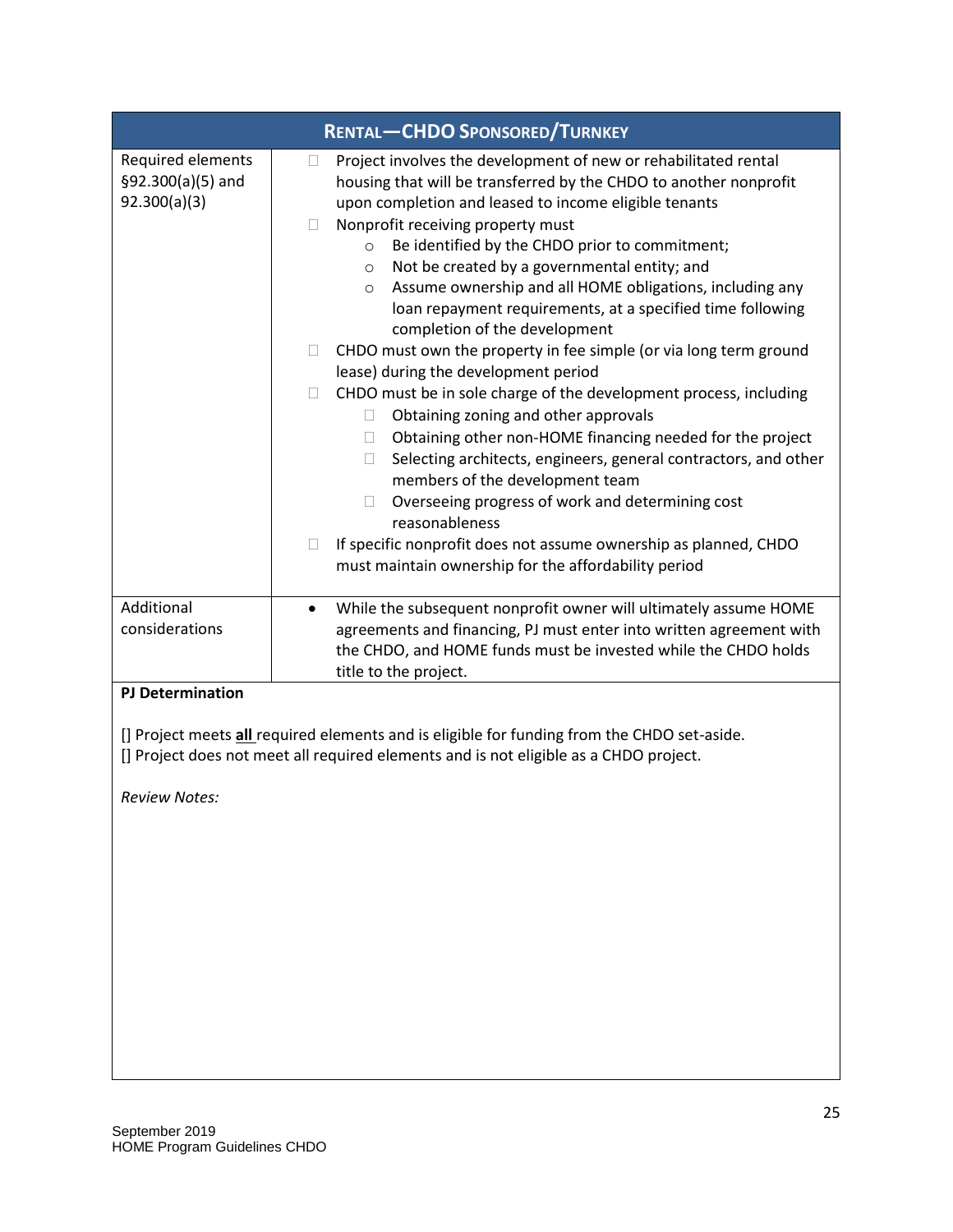| <b>RENTAL-CHDO SPONSORED/TURNKEY</b>                   |                                                                                                                                                                                                                                                                                                                                                                                                                                                                                                                                           |
|--------------------------------------------------------|-------------------------------------------------------------------------------------------------------------------------------------------------------------------------------------------------------------------------------------------------------------------------------------------------------------------------------------------------------------------------------------------------------------------------------------------------------------------------------------------------------------------------------------------|
| Required elements<br>§92.300(a)(5) and<br>92.300(a)(3) | Project involves the development of new or rehabilitated rental<br>u<br>housing that will be transferred by the CHDO to another nonprofit<br>upon completion and leased to income eligible tenants<br>Nonprofit receiving property must<br>$\Box$<br>Be identified by the CHDO prior to commitment;<br>$\circ$<br>Not be created by a governmental entity; and<br>$\circ$<br>Assume ownership and all HOME obligations, including any<br>O<br>loan repayment requirements, at a specified time following<br>completion of the development |
|                                                        | CHDO must own the property in fee simple (or via long term ground<br>$\Box$<br>lease) during the development period<br>CHDO must be in sole charge of the development process, including<br>$\Box$                                                                                                                                                                                                                                                                                                                                        |
|                                                        | Obtaining zoning and other approvals<br>$\Box$<br>Obtaining other non-HOME financing needed for the project<br>$\Box$<br>Selecting architects, engineers, general contractors, and other<br>$\Box$<br>members of the development team                                                                                                                                                                                                                                                                                                     |
|                                                        | Overseeing progress of work and determining cost<br>□<br>reasonableness                                                                                                                                                                                                                                                                                                                                                                                                                                                                   |
|                                                        | If specific nonprofit does not assume ownership as planned, CHDO<br>$\Box$<br>must maintain ownership for the affordability period                                                                                                                                                                                                                                                                                                                                                                                                        |
| Additional<br>considerations                           | While the subsequent nonprofit owner will ultimately assume HOME<br>$\bullet$<br>agreements and financing, PJ must enter into written agreement with<br>the CHDO, and HOME funds must be invested while the CHDO holds<br>title to the project.                                                                                                                                                                                                                                                                                           |
| <b>PJ Determination</b>                                |                                                                                                                                                                                                                                                                                                                                                                                                                                                                                                                                           |
|                                                        | [] Project meets <i>all</i> required elements and is eligible for funding from the CHDO set-aside.<br>[] Project does not meet all required elements and is not eligible as a CHDO project.                                                                                                                                                                                                                                                                                                                                               |
| <b>Review Notes:</b>                                   |                                                                                                                                                                                                                                                                                                                                                                                                                                                                                                                                           |
|                                                        |                                                                                                                                                                                                                                                                                                                                                                                                                                                                                                                                           |
|                                                        |                                                                                                                                                                                                                                                                                                                                                                                                                                                                                                                                           |
|                                                        |                                                                                                                                                                                                                                                                                                                                                                                                                                                                                                                                           |
|                                                        |                                                                                                                                                                                                                                                                                                                                                                                                                                                                                                                                           |
|                                                        |                                                                                                                                                                                                                                                                                                                                                                                                                                                                                                                                           |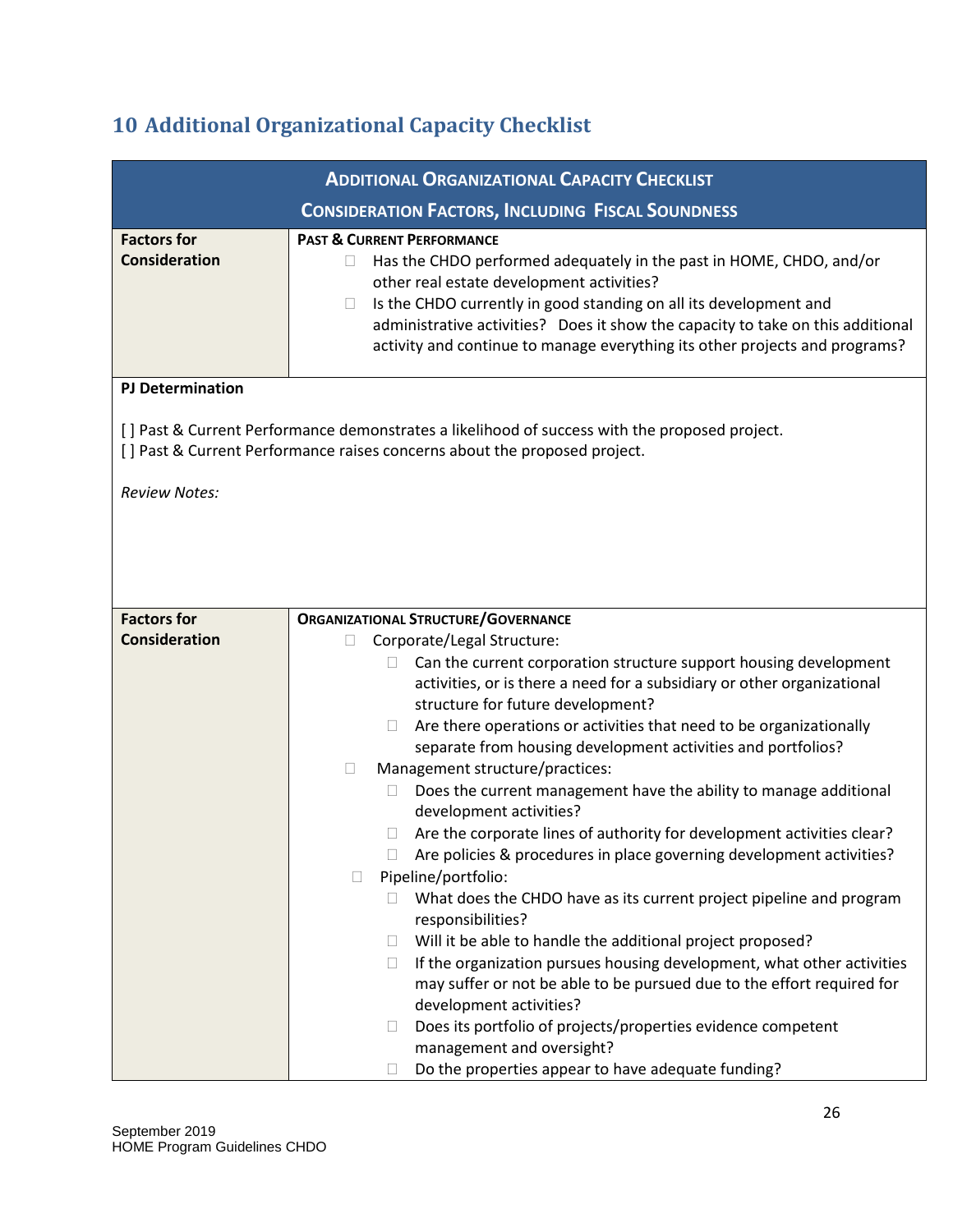## <span id="page-26-0"></span>**10 Additional Organizational Capacity Checklist**

|                                            | <b>ADDITIONAL ORGANIZATIONAL CAPACITY CHECKLIST</b>                                                                                                                                                                                                                                                                                                                                                                                                                                                                                                                                                                                                                                                                                                                                                                                                                                                                                                                                                                                                                                                                                                                                                                                                                 |
|--------------------------------------------|---------------------------------------------------------------------------------------------------------------------------------------------------------------------------------------------------------------------------------------------------------------------------------------------------------------------------------------------------------------------------------------------------------------------------------------------------------------------------------------------------------------------------------------------------------------------------------------------------------------------------------------------------------------------------------------------------------------------------------------------------------------------------------------------------------------------------------------------------------------------------------------------------------------------------------------------------------------------------------------------------------------------------------------------------------------------------------------------------------------------------------------------------------------------------------------------------------------------------------------------------------------------|
|                                            | <b>CONSIDERATION FACTORS, INCLUDING FISCAL SOUNDNESS</b>                                                                                                                                                                                                                                                                                                                                                                                                                                                                                                                                                                                                                                                                                                                                                                                                                                                                                                                                                                                                                                                                                                                                                                                                            |
| <b>Factors for</b><br><b>Consideration</b> | <b>PAST &amp; CURRENT PERFORMANCE</b><br>Has the CHDO performed adequately in the past in HOME, CHDO, and/or<br>other real estate development activities?<br>Is the CHDO currently in good standing on all its development and<br>$\Box$<br>administrative activities? Does it show the capacity to take on this additional<br>activity and continue to manage everything its other projects and programs?                                                                                                                                                                                                                                                                                                                                                                                                                                                                                                                                                                                                                                                                                                                                                                                                                                                          |
| <b>PJ Determination</b>                    |                                                                                                                                                                                                                                                                                                                                                                                                                                                                                                                                                                                                                                                                                                                                                                                                                                                                                                                                                                                                                                                                                                                                                                                                                                                                     |
|                                            | [] Past & Current Performance demonstrates a likelihood of success with the proposed project.<br>[] Past & Current Performance raises concerns about the proposed project.                                                                                                                                                                                                                                                                                                                                                                                                                                                                                                                                                                                                                                                                                                                                                                                                                                                                                                                                                                                                                                                                                          |
| <b>Review Notes:</b>                       |                                                                                                                                                                                                                                                                                                                                                                                                                                                                                                                                                                                                                                                                                                                                                                                                                                                                                                                                                                                                                                                                                                                                                                                                                                                                     |
|                                            |                                                                                                                                                                                                                                                                                                                                                                                                                                                                                                                                                                                                                                                                                                                                                                                                                                                                                                                                                                                                                                                                                                                                                                                                                                                                     |
| <b>Factors for</b>                         | <b>ORGANIZATIONAL STRUCTURE/GOVERNANCE</b>                                                                                                                                                                                                                                                                                                                                                                                                                                                                                                                                                                                                                                                                                                                                                                                                                                                                                                                                                                                                                                                                                                                                                                                                                          |
| <b>Consideration</b>                       | Corporate/Legal Structure:<br>П<br>Can the current corporation structure support housing development<br>activities, or is there a need for a subsidiary or other organizational<br>structure for future development?<br>Are there operations or activities that need to be organizationally<br>$\Box$<br>separate from housing development activities and portfolios?<br>Management structure/practices:<br>$\Box$<br>Does the current management have the ability to manage additional<br>$\Box$<br>development activities?<br>Are the corporate lines of authority for development activities clear?<br>Are policies & procedures in place governing development activities?<br>$\mathbf{1}$<br>Pipeline/portfolio:<br>$\Box$<br>What does the CHDO have as its current project pipeline and program<br>$\Box$<br>responsibilities?<br>Will it be able to handle the additional project proposed?<br>$\Box$<br>If the organization pursues housing development, what other activities<br>$\Box$<br>may suffer or not be able to be pursued due to the effort required for<br>development activities?<br>Does its portfolio of projects/properties evidence competent<br>$\Box$<br>management and oversight?<br>Do the properties appear to have adequate funding? |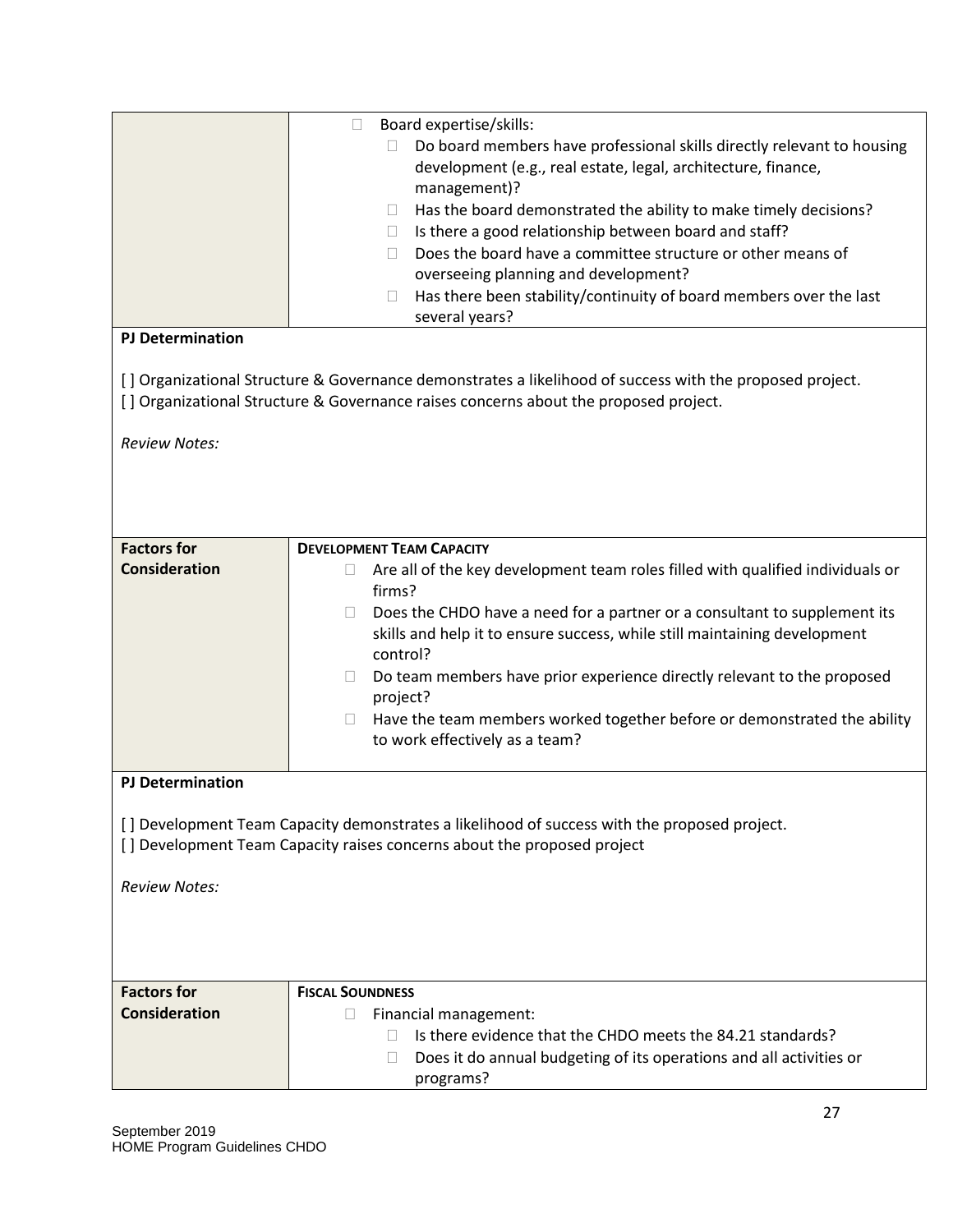|                         | Board expertise/skills:<br>$\Box$                                                                        |
|-------------------------|----------------------------------------------------------------------------------------------------------|
|                         | Do board members have professional skills directly relevant to housing<br>П                              |
|                         | development (e.g., real estate, legal, architecture, finance,                                            |
|                         | management)?                                                                                             |
|                         | Has the board demonstrated the ability to make timely decisions?<br>$\Box$                               |
|                         | Is there a good relationship between board and staff?<br>$\Box$                                          |
|                         | Does the board have a committee structure or other means of<br>П.                                        |
|                         | overseeing planning and development?                                                                     |
|                         | Has there been stability/continuity of board members over the last<br>$\Box$                             |
| <b>PJ Determination</b> | several years?                                                                                           |
|                         |                                                                                                          |
|                         | [] Organizational Structure & Governance demonstrates a likelihood of success with the proposed project. |
|                         | [] Organizational Structure & Governance raises concerns about the proposed project.                     |
| <b>Review Notes:</b>    |                                                                                                          |
|                         |                                                                                                          |
|                         |                                                                                                          |
|                         |                                                                                                          |
|                         |                                                                                                          |
| <b>Factors for</b>      | <b>DEVELOPMENT TEAM CAPACITY</b>                                                                         |
| <b>Consideration</b>    | Are all of the key development team roles filled with qualified individuals or<br>$\Box$                 |
|                         | firms?                                                                                                   |
|                         | Does the CHDO have a need for a partner or a consultant to supplement its<br>$\Box$                      |
|                         | skills and help it to ensure success, while still maintaining development                                |
|                         | control?                                                                                                 |
|                         | Do team members have prior experience directly relevant to the proposed<br>⊔                             |
|                         | project?                                                                                                 |
|                         | Have the team members worked together before or demonstrated the ability<br>$\Box$                       |
|                         | to work effectively as a team?                                                                           |
| <b>PJ Determination</b> |                                                                                                          |
|                         |                                                                                                          |
|                         | [] Development Team Capacity demonstrates a likelihood of success with the proposed project.             |
|                         | [] Development Team Capacity raises concerns about the proposed project                                  |
|                         |                                                                                                          |
| <b>Review Notes:</b>    |                                                                                                          |
|                         |                                                                                                          |
|                         |                                                                                                          |
|                         |                                                                                                          |
| <b>Factors for</b>      |                                                                                                          |
| <b>Consideration</b>    | <b>FISCAL SOUNDNESS</b>                                                                                  |
|                         | П<br>Financial management:<br>Is there evidence that the CHDO meets the 84.21 standards?                 |
|                         |                                                                                                          |
|                         | Does it do annual budgeting of its operations and all activities or<br>П                                 |
|                         | programs?                                                                                                |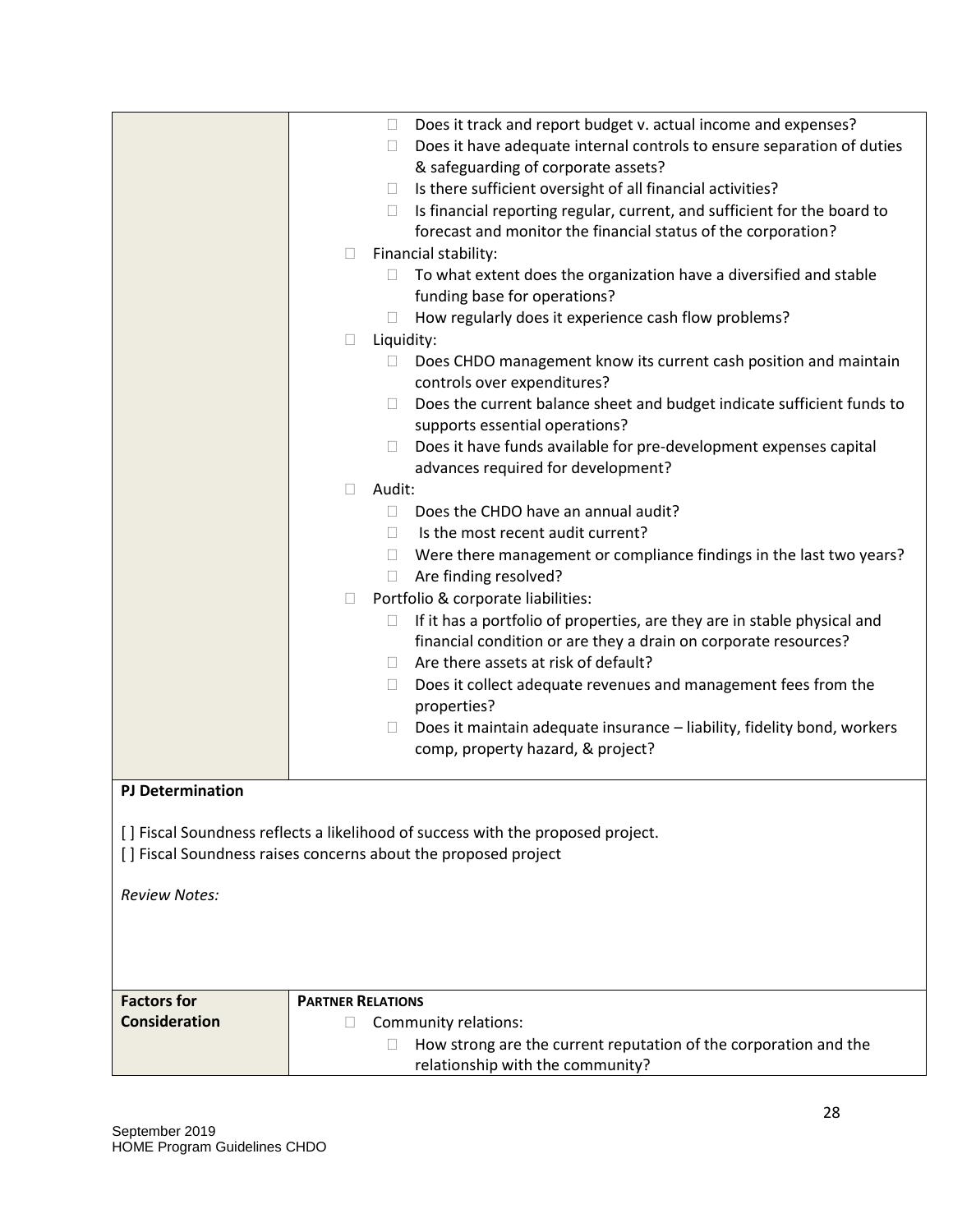|                         | Does it track and report budget v. actual income and expenses?<br>$\Box$<br>Does it have adequate internal controls to ensure separation of duties<br>u<br>& safeguarding of corporate assets?<br>Is there sufficient oversight of all financial activities?<br>$\Box$<br>Is financial reporting regular, current, and sufficient for the board to<br>forecast and monitor the financial status of the corporation?<br>Financial stability:<br>□<br>To what extent does the organization have a diversified and stable<br>funding base for operations?<br>How regularly does it experience cash flow problems?<br>Liquidity:<br>$\Box$<br>Does CHDO management know its current cash position and maintain<br>$\Box$<br>controls over expenditures?<br>Does the current balance sheet and budget indicate sufficient funds to<br>$\Box$<br>supports essential operations?<br>Does it have funds available for pre-development expenses capital<br>$\mathbb{R}$<br>advances required for development?<br>Audit:<br>П<br>Does the CHDO have an annual audit?<br>П<br>Is the most recent audit current?<br>$\Box$<br>Were there management or compliance findings in the last two years?<br>Are finding resolved?<br>$\mathbb{R}$<br>Portfolio & corporate liabilities:<br>$\Box$<br>If it has a portfolio of properties, are they are in stable physical and<br>financial condition or are they a drain on corporate resources?<br>Are there assets at risk of default?<br>$\Box$<br>Does it collect adequate revenues and management fees from the<br>$\Box$<br>properties? |
|-------------------------|----------------------------------------------------------------------------------------------------------------------------------------------------------------------------------------------------------------------------------------------------------------------------------------------------------------------------------------------------------------------------------------------------------------------------------------------------------------------------------------------------------------------------------------------------------------------------------------------------------------------------------------------------------------------------------------------------------------------------------------------------------------------------------------------------------------------------------------------------------------------------------------------------------------------------------------------------------------------------------------------------------------------------------------------------------------------------------------------------------------------------------------------------------------------------------------------------------------------------------------------------------------------------------------------------------------------------------------------------------------------------------------------------------------------------------------------------------------------------------------------------------------------------------------------------------------------------|
|                         | Does it maintain adequate insurance - liability, fidelity bond, workers<br>$\Box$<br>comp, property hazard, & project?                                                                                                                                                                                                                                                                                                                                                                                                                                                                                                                                                                                                                                                                                                                                                                                                                                                                                                                                                                                                                                                                                                                                                                                                                                                                                                                                                                                                                                                     |
| <b>PJ Determination</b> |                                                                                                                                                                                                                                                                                                                                                                                                                                                                                                                                                                                                                                                                                                                                                                                                                                                                                                                                                                                                                                                                                                                                                                                                                                                                                                                                                                                                                                                                                                                                                                            |
|                         | [] Fiscal Soundness reflects a likelihood of success with the proposed project.<br>[] Fiscal Soundness raises concerns about the proposed project                                                                                                                                                                                                                                                                                                                                                                                                                                                                                                                                                                                                                                                                                                                                                                                                                                                                                                                                                                                                                                                                                                                                                                                                                                                                                                                                                                                                                          |
| <b>Review Notes:</b>    |                                                                                                                                                                                                                                                                                                                                                                                                                                                                                                                                                                                                                                                                                                                                                                                                                                                                                                                                                                                                                                                                                                                                                                                                                                                                                                                                                                                                                                                                                                                                                                            |
| <b>Factors for</b>      | <b>PARTNER RELATIONS</b>                                                                                                                                                                                                                                                                                                                                                                                                                                                                                                                                                                                                                                                                                                                                                                                                                                                                                                                                                                                                                                                                                                                                                                                                                                                                                                                                                                                                                                                                                                                                                   |
| <b>Consideration</b>    | Community relations:<br>How strong are the current reputation of the corporation and the<br>relationship with the community?                                                                                                                                                                                                                                                                                                                                                                                                                                                                                                                                                                                                                                                                                                                                                                                                                                                                                                                                                                                                                                                                                                                                                                                                                                                                                                                                                                                                                                               |